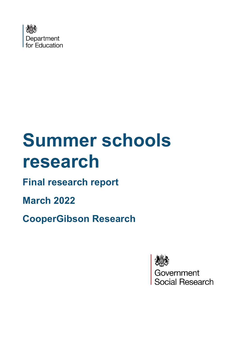

# **Summer schools research**

# **Final research report**

**March 2022** 

**CooperGibson Research**



Government<br>Social Research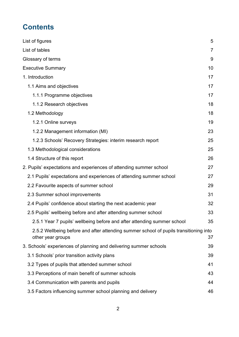# **Contents**

| List of figures                                                                                            | 5  |
|------------------------------------------------------------------------------------------------------------|----|
| List of tables                                                                                             | 7  |
| Glossary of terms                                                                                          | 9  |
| <b>Executive Summary</b>                                                                                   | 10 |
| 1. Introduction                                                                                            | 17 |
| 1.1 Aims and objectives                                                                                    | 17 |
| 1.1.1 Programme objectives                                                                                 | 17 |
| 1.1.2 Research objectives                                                                                  | 18 |
| 1.2 Methodology                                                                                            | 18 |
| 1.2.1 Online surveys                                                                                       | 19 |
| 1.2.2 Management information (MI)                                                                          | 23 |
| 1.2.3 Schools' Recovery Strategies: interim research report                                                | 25 |
| 1.3 Methodological considerations                                                                          | 25 |
| 1.4 Structure of this report                                                                               | 26 |
| 2. Pupils' expectations and experiences of attending summer school                                         | 27 |
| 2.1 Pupils' expectations and experiences of attending summer school                                        | 27 |
| 2.2 Favourite aspects of summer school                                                                     | 29 |
| 2.3 Summer school improvements                                                                             | 31 |
| 2.4 Pupils' confidence about starting the next academic year                                               | 32 |
| 2.5 Pupils' wellbeing before and after attending summer school                                             | 33 |
| 2.5.1 Year 7 pupils' wellbeing before and after attending summer school                                    | 35 |
| 2.5.2 Wellbeing before and after attending summer school of pupils transitioning into<br>other year groups | 37 |
| 3. Schools' experiences of planning and delivering summer schools                                          | 39 |
| 3.1 Schools' prior transition activity plans                                                               | 39 |
| 3.2 Types of pupils that attended summer school                                                            | 41 |
| 3.3 Perceptions of main benefit of summer schools                                                          | 43 |
| 3.4 Communication with parents and pupils                                                                  | 44 |
| 3.5 Factors influencing summer school planning and delivery                                                | 46 |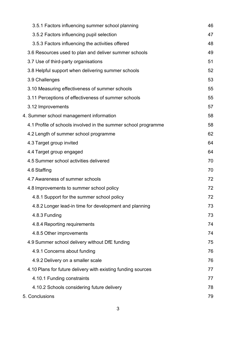| 3.5.1 Factors influencing summer school planning               | 46 |
|----------------------------------------------------------------|----|
| 3.5.2 Factors influencing pupil selection                      | 47 |
| 3.5.3 Factors influencing the activities offered               | 48 |
| 3.6 Resources used to plan and deliver summer schools          | 49 |
| 3.7 Use of third-party organisations                           | 51 |
| 3.8 Helpful support when delivering summer schools             | 52 |
| 3.9 Challenges                                                 | 53 |
| 3.10 Measuring effectiveness of summer schools                 | 55 |
| 3.11 Perceptions of effectiveness of summer schools            | 55 |
| 3.12 Improvements                                              | 57 |
| 4. Summer school management information                        | 58 |
| 4.1 Profile of schools involved in the summer school programme | 58 |
| 4.2 Length of summer school programme                          | 62 |
| 4.3 Target group invited                                       | 64 |
| 4.4 Target group engaged                                       | 64 |
| 4.5 Summer school activities delivered                         | 70 |
| 4.6 Staffing                                                   | 70 |
| 4.7 Awareness of summer schools                                | 72 |
| 4.8 Improvements to summer school policy                       | 72 |
| 4.8.1 Support for the summer school policy                     | 72 |
| 4.8.2 Longer lead-in time for development and planning         | 73 |
| 4.8.3 Funding                                                  | 73 |
| 4.8.4 Reporting requirements                                   | 74 |
| 4.8.5 Other improvements                                       | 74 |
| 4.9 Summer school delivery without DfE funding                 | 75 |
| 4.9.1 Concerns about funding                                   | 76 |
| 4.9.2 Delivery on a smaller scale                              | 76 |
| 4.10 Plans for future delivery with existing funding sources   | 77 |
| 4.10.1 Funding constraints                                     | 77 |
| 4.10.2 Schools considering future delivery                     | 78 |
| 5. Conclusions                                                 | 79 |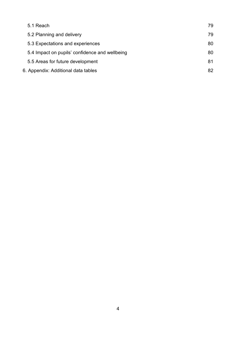| 5.1 Reach                                      | 79 |
|------------------------------------------------|----|
| 5.2 Planning and delivery                      | 79 |
| 5.3 Expectations and experiences               | 80 |
| 5.4 Impact on pupils' confidence and wellbeing | 80 |
| 5.5 Areas for future development               | 81 |
| 6. Appendix: Additional data tables            | 82 |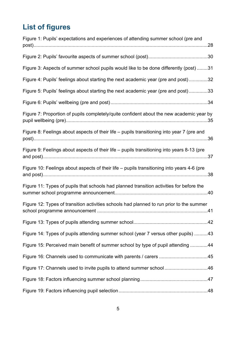# <span id="page-4-0"></span>**List of figures**

| Figure 1: Pupils' expectations and experiences of attending summer school (pre and         |
|--------------------------------------------------------------------------------------------|
|                                                                                            |
| Figure 3: Aspects of summer school pupils would like to be done differently (post) 31      |
| Figure 4: Pupils' feelings about starting the next academic year (pre and post)32          |
| Figure 5: Pupils' feelings about starting the next academic year (pre and post)33          |
|                                                                                            |
| Figure 7: Proportion of pupils completely/quite confident about the new academic year by   |
| Figure 8: Feelings about aspects of their life - pupils transitioning into year 7 (pre and |
| Figure 9: Feelings about aspects of their life - pupils transitioning into years 8-13 (pre |
| Figure 10: Feelings about aspects of their life - pupils transitioning into years 4-6 (pre |
| Figure 11: Types of pupils that schools had planned transition activities for before the   |
| Figure 12: Types of transition activities schools had planned to run prior to the summer   |
|                                                                                            |
| Figure 14: Types of pupils attending summer school (year 7 versus other pupils) 43         |
| Figure 15: Perceived main benefit of summer school by type of pupil attending 44           |
|                                                                                            |
| Figure 17: Channels used to invite pupils to attend summer school46                        |
|                                                                                            |
|                                                                                            |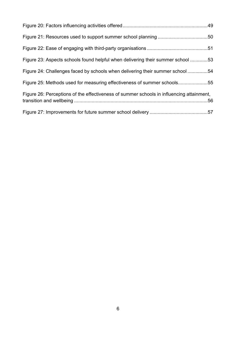| Figure 23: Aspects schools found helpful when delivering their summer school 53          |  |
|------------------------------------------------------------------------------------------|--|
| Figure 24: Challenges faced by schools when delivering their summer school 54            |  |
| Figure 25: Methods used for measuring effectiveness of summer schools55                  |  |
| Figure 26: Perceptions of the effectiveness of summer schools in influencing attainment, |  |
|                                                                                          |  |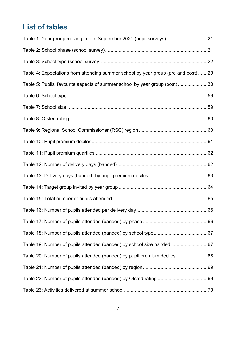# <span id="page-6-0"></span>**List of tables**

| Table 1: Year group moving into in September 2021 (pupil surveys) 21               |  |
|------------------------------------------------------------------------------------|--|
|                                                                                    |  |
|                                                                                    |  |
| Table 4: Expectations from attending summer school by year group (pre and post) 29 |  |
| Table 5: Pupils' favourite aspects of summer school by year group (post)30         |  |
|                                                                                    |  |
|                                                                                    |  |
|                                                                                    |  |
|                                                                                    |  |
|                                                                                    |  |
|                                                                                    |  |
|                                                                                    |  |
|                                                                                    |  |
|                                                                                    |  |
|                                                                                    |  |
|                                                                                    |  |
|                                                                                    |  |
|                                                                                    |  |
| Table 19: Number of pupils attended (banded) by school size banded 67              |  |
| Table 20: Number of pupils attended (banded) by pupil premium deciles 68           |  |
|                                                                                    |  |
|                                                                                    |  |
|                                                                                    |  |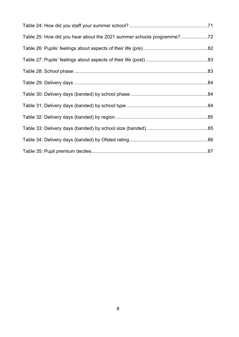| Table 25: How did you hear about the 2021 summer schools programme? |  |
|---------------------------------------------------------------------|--|
|                                                                     |  |
|                                                                     |  |
|                                                                     |  |
|                                                                     |  |
|                                                                     |  |
|                                                                     |  |
|                                                                     |  |
|                                                                     |  |
|                                                                     |  |
|                                                                     |  |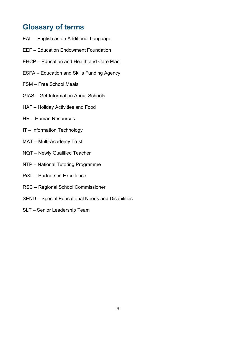# <span id="page-8-0"></span>**Glossary of terms**

- EAL English as an Additional Language
- EEF Education Endowment Foundation
- EHCP Education and Health and Care Plan
- ESFA Education and Skills Funding Agency
- FSM Free School Meals
- GIAS Get Information About Schools
- HAF Holiday Activities and Food
- HR Human Resources
- IT Information Technology
- MAT Multi-Academy Trust
- NQT Newly Qualified Teacher
- NTP National Tutoring Programme
- PiXL Partners in Excellence
- RSC Regional School Commissioner
- SEND Special Educational Needs and Disabilities
- SLT Senior Leadership Team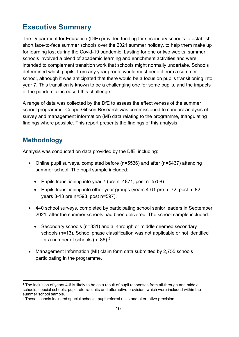# <span id="page-9-0"></span>**Executive Summary**

The Department for Education (DfE) provided funding for secondary schools to establish short face-to-face summer schools over the 2021 summer holiday, to help them make up for learning lost during the Covid-19 pandemic. Lasting for one or two weeks, summer schools involved a blend of academic learning and enrichment activities and were intended to complement transition work that schools might normally undertake. Schools determined which pupils, from any year group, would most benefit from a summer school, although it was anticipated that there would be a focus on pupils transitioning into year 7. This transition is known to be a challenging one for some pupils, and the impacts of the pandemic increased this challenge.

A range of data was collected by the DfE to assess the effectiveness of the summer school programme. CooperGibson Research was commissioned to conduct analysis of survey and management information (MI) data relating to the programme, triangulating findings where possible. This report presents the findings of this analysis.

# **Methodology**

Analysis was conducted on data provided by the DfE, including:

- Online pupil surveys, completed before (n=5536) and after (n=6437) attending summer school. The pupil sample included:
	- Pupils transitioning into year 7 (pre n=4871, post n=5758)
	- Pupils transitioning into other year groups (years 4-[61](#page-9-1) pre n=72, post n=82; years 8-13 pre n=593, post n=597).
- 440 school surveys, completed by participating school senior leaders in September 2021, after the summer schools had been delivered. The school sample included:
	- Secondary schools (n=331) and all-through or middle deemed secondary schools (n=13). School phase classification was not applicable or not identified for a number of schools  $(n=86)$ .<sup>[2](#page-9-2)</sup>
- Management Information (MI) claim form data submitted by 2,755 schools participating in the programme.

<span id="page-9-1"></span><sup>1</sup> The inclusion of years 4-6 is likely to be as a result of pupil responses from all-through and middle schools, special schools, pupil referral units and alternative provision, which were included within the summer school sample.

<span id="page-9-2"></span> $2$  These schools included special schools, pupil referral units and alternative provision.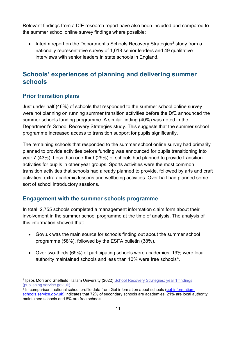Relevant findings from a DfE research report have also been included and compared to the summer school online survey findings where possible:

• Interim report on the Department's Schools Recovery Strategies<sup>3</sup> study from a nationally representative survey of 1,018 senior leaders and 49 qualitative interviews with senior leaders in state schools in England.

# **Schools' experiences of planning and delivering summer schools**

#### **Prior transition plans**

Just under half (46%) of schools that responded to the summer school online survey were not planning on running summer transition activities before the DfE announced the summer schools funding programme. A similar finding (40%) was noted in the Department's School Recovery Strategies study. This suggests that the summer school programme increased access to transition support for pupils significantly.

The remaining schools that responded to the summer school online survey had primarily planned to provide activities before funding was announced for pupils transitioning into year 7 (43%). Less than one-third (29%) of schools had planned to provide transition activities for pupils in other year groups. Sports activities were the most common transition activities that schools had already planned to provide, followed by arts and craft activities, extra academic lessons and wellbeing activities. Over half had planned some sort of school introductory sessions.

#### **Engagement with the summer schools programme**

In total, 2,755 schools completed a management information claim form about their involvement in the summer school programme at the time of analysis. The analysis of this information showed that:

- Gov.uk was the main source for schools finding out about the summer school programme (58%), followed by the ESFA bulletin (38%).
- Over two-thirds (69%) of participating schools were academies, 19% were local authority maintained schools and less than  $10\%$  were free schools<sup>[4](#page-10-1)</sup>.

<span id="page-10-0"></span><sup>&</sup>lt;sup>3</sup> Ipsos Mori and Sheffield Hallam University (2022) [School Recovery Strategies: year 1 findings](https://assets.publishing.service.gov.uk/government/uploads/system/uploads/attachment_data/file/1045471/School_Recovery_Strategies_year_1_findings.pdf) (publishing.service.gov.uk)

<span id="page-10-1"></span><sup>&</sup>lt;sup>4</sup> In comparison, national school profile data from Get information about schools [\(get-information](https://www.get-information-schools.service.gov.uk/)[schools.service.gov.uk\)](https://www.get-information-schools.service.gov.uk/) indicates that 72% of secondary schools are academies, 21% are local authority maintained schools and 8% are free schools.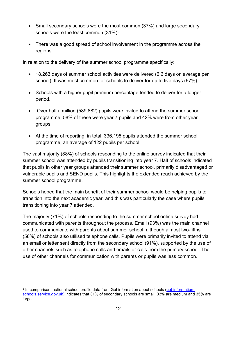- Small secondary schools were the most common (37%) and large secondary schools were the least common  $(31\%)^5$  $(31\%)^5$ .
- There was a good spread of school involvement in the programme across the regions.

In relation to the delivery of the summer school programme specifically:

- 18,263 days of summer school activities were delivered (6.6 days on average per school). It was most common for schools to deliver for up to five days (67%).
- Schools with a higher pupil premium percentage tended to deliver for a longer period.
- Over half a million (589,882) pupils were invited to attend the summer school programme; 58% of these were year 7 pupils and 42% were from other year groups.
- At the time of reporting, in total, 336,195 pupils attended the summer school programme, an average of 122 pupils per school.

The vast majority (88%) of schools responding to the online survey indicated that their summer school was attended by pupils transitioning into year 7. Half of schools indicated that pupils in other year groups attended their summer school, primarily disadvantaged or vulnerable pupils and SEND pupils. This highlights the extended reach achieved by the summer school programme.

Schools hoped that the main benefit of their summer school would be helping pupils to transition into the next academic year, and this was particularly the case where pupils transitioning into year 7 attended.

The majority (71%) of schools responding to the summer school online survey had communicated with parents throughout the process. Email (93%) was the main channel used to communicate with parents about summer school, although almost two-fifths (58%) of schools also utilised telephone calls. Pupils were primarily invited to attend via an email or letter sent directly from the secondary school (91%), supported by the use of other channels such as telephone calls and emails or calls from the primary school. The use of other channels for communication with parents or pupils was less common.

<span id="page-11-0"></span><sup>5</sup> In comparison, national school profile data from Get information about schools [\(get-information-](https://www.get-information-schools.service.gov.uk/)

[schools.service.gov.uk\)](https://www.get-information-schools.service.gov.uk/) indicates that 31% of secondary schools are small, 33% are medium and 35% are large.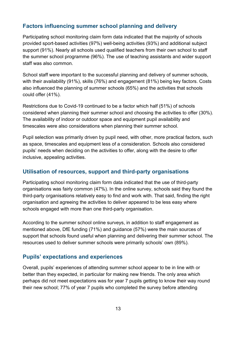#### **Factors influencing summer school planning and delivery**

Participating school monitoring claim form data indicated that the majority of schools provided sport-based activities (97%) well-being activities (93%) and additional subject support (91%). Nearly all schools used qualified teachers from their own school to staff the summer school programme (96%). The use of teaching assistants and wider support staff was also common.

School staff were important to the successful planning and delivery of summer schools, with their availability (91%), skills (76%) and engagement (81%) being key factors. Costs also influenced the planning of summer schools (65%) and the activities that schools could offer (41%).

Restrictions due to Covid-19 continued to be a factor which half (51%) of schools considered when planning their summer school and choosing the activities to offer (30%). The availability of indoor or outdoor space and equipment pupil availability and timescales were also considerations when planning their summer school.

Pupil selection was primarily driven by pupil need, with other, more practical factors, such as space, timescales and equipment less of a consideration. Schools also considered pupils' needs when deciding on the activities to offer, along with the desire to offer inclusive, appealing activities.

#### **Utilisation of resources, support and third-party organisations**

Participating school monitoring claim form data indicated that the use of third-party organisations was fairly common (47%). In the online survey, schools said they found the third-party organisations relatively easy to find and work with. That said, finding the right organisation and agreeing the activities to deliver appeared to be less easy where schools engaged with more than one third-party organisation.

According to the summer school online surveys, in addition to staff engagement as mentioned above, DfE funding (71%) and guidance (57%) were the main sources of support that schools found useful when planning and delivering their summer school. The resources used to deliver summer schools were primarily schools' own (89%).

#### **Pupils' expectations and experiences**

Overall, pupils' experiences of attending summer school appear to be in line with or better than they expected, in particular for making new friends. The only area which perhaps did not meet expectations was for year 7 pupils getting to know their way round their new school; 77% of year 7 pupils who completed the survey before attending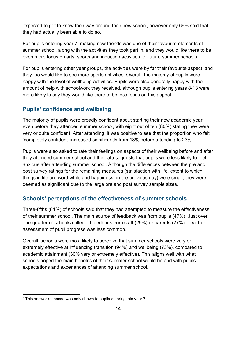expected to get to know their way around their new school, however only 66% said that they had actually been able to do so.[6](#page-13-0)

For pupils entering year 7, making new friends was one of their favourite elements of summer school, along with the activities they took part in, and they would like there to be even more focus on arts, sports and induction activities for future summer schools.

For pupils entering other year groups, the activities were by far their favourite aspect, and they too would like to see more sports activities. Overall, the majority of pupils were happy with the level of wellbeing activities. Pupils were also generally happy with the amount of help with schoolwork they received, although pupils entering years 8-13 were more likely to say they would like there to be less focus on this aspect.

## **Pupils' confidence and wellbeing**

The majority of pupils were broadly confident about starting their new academic year even before they attended summer school, with eight out of ten (80%) stating they were very or quite confident. After attending, it was positive to see that the proportion who felt 'completely confident' increased significantly from 18% before attending to 23%.

Pupils were also asked to rate their feelings on aspects of their wellbeing before and after they attended summer school and the data suggests that pupils were less likely to feel anxious after attending summer school. Although the differences between the pre and post survey ratings for the remaining measures (satisfaction with life, extent to which things in life are worthwhile and happiness on the previous day) were small, they were deemed as significant due to the large pre and post survey sample sizes.

## **Schools' perceptions of the effectiveness of summer schools**

Three-fifths (61%) of schools said that they had attempted to measure the effectiveness of their summer school. The main source of feedback was from pupils (47%). Just over one-quarter of schools collected feedback from staff (29%) or parents (27%). Teacher assessment of pupil progress was less common.

Overall, schools were most likely to perceive that summer schools were very or extremely effective at influencing transition (94%) and wellbeing (73%), compared to academic attainment (30% very or extremely effective). This aligns well with what schools hoped the main benefits of their summer school would be and with pupils' expectations and experiences of attending summer school.

<span id="page-13-0"></span> $6$  This answer response was only shown to pupils entering into year 7.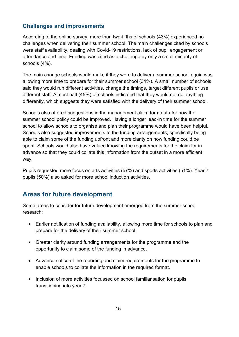### **Challenges and improvements**

According to the online survey, more than two-fifths of schools (43%) experienced no challenges when delivering their summer school. The main challenges cited by schools were staff availability, dealing with Covid-19 restrictions, lack of pupil engagement or attendance and time. Funding was cited as a challenge by only a small minority of schools (4%).

The main change schools would make if they were to deliver a summer school again was allowing more time to prepare for their summer school (34%). A small number of schools said they would run different activities, change the timings, target different pupils or use different staff. Almost half (45%) of schools indicated that they would not do anything differently, which suggests they were satisfied with the delivery of their summer school.

Schools also offered suggestions in the management claim form data for how the summer school policy could be improved. Having a longer lead-in time for the summer school to allow schools to organise and plan their programme would have been helpful. Schools also suggested improvements to the funding arrangements, specifically being able to claim some of the funding upfront and more clarity on how funding could be spent. Schools would also have valued knowing the requirements for the claim for in advance so that they could collate this information from the outset in a more efficient way.

Pupils requested more focus on arts activities (57%) and sports activities (51%). Year 7 pupils (50%) also asked for more school induction activities.

# **Areas for future development**

Some areas to consider for future development emerged from the summer school research:

- Earlier notification of funding availability, allowing more time for schools to plan and prepare for the delivery of their summer school.
- Greater clarity around funding arrangements for the programme and the opportunity to claim some of the funding in advance.
- Advance notice of the reporting and claim requirements for the programme to enable schools to collate the information in the required format.
- Inclusion of more activities focussed on school familiarisation for pupils transitioning into year 7.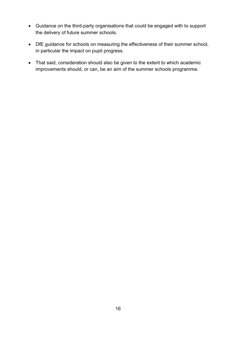- Guidance on the third-party organisations that could be engaged with to support the delivery of future summer schools.
- DfE guidance for schools on measuring the effectiveness of their summer school, in particular the impact on pupil progress.
- That said, consideration should also be given to the extent to which academic improvements should, or can, be an aim of the summer schools programme.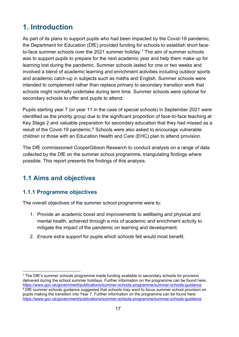# <span id="page-16-0"></span>**1. Introduction**

As part of its plans to support pupils who had been impacted by the Covid-19 pandemic, the Department for Education (DfE) provided funding for schools to establish short face-to-face summer schools over the 2021 summer holiday.<sup>[7](#page-16-3)</sup> The aim of summer schools was to support pupils to prepare for the next academic year and help them make up for learning lost during the pandemic. Summer schools lasted for one or two weeks and involved a blend of academic learning and enrichment activities including outdoor sports and academic catch-up in subjects such as maths and English. Summer schools were intended to complement rather than replace primary to secondary transition work that schools might normally undertake during term time. Summer schools were optional for secondary schools to offer and pupils to attend.

Pupils starting year 7 (or year 11 in the case of special schools) in September 2021 were identified as the priority group due to the significant proportion of face-to-face teaching at Key Stage 2 and valuable preparation for secondary education that they had missed as a result of the Covid-19 pandemic.<sup>[8](#page-16-4)</sup> Schools were also asked to encourage vulnerable children or those with an Education Health and Care (EHC) plan to attend provision.

The DfE commissioned CooperGibson Research to conduct analysis on a range of data collected by the DfE on the summer school programme, triangulating findings where possible. This report presents the findings of this analysis.

# <span id="page-16-1"></span>**1.1 Aims and objectives**

## <span id="page-16-2"></span>**1.1.1 Programme objectives**

The overall objectives of the summer school programme were to:

- 1. Provide an academic boost and improvements to wellbeing and physical and mental health, achieved through a mix of academic and enrichment activity to mitigate the impact of the pandemic on learning and development.
- 2. Ensure extra support for pupils which schools felt would most benefit.

<span id="page-16-4"></span><span id="page-16-3"></span><sup>&</sup>lt;sup>7</sup> The DfE's summer schools programme made funding available to secondary schools for provision delivered during the school summer holidays. Further information on the programme can be found here: <https://www.gov.uk/government/publications/summer-schools-programme/summer-schools-guidance> <sup>8</sup> DfE summer schools guidance suggested that schools may want to focus summer school provision on pupils making the transition into Year 7. Further information on the programme can be found here: <https://www.gov.uk/government/publications/summer-schools-programme/summer-schools-guidance>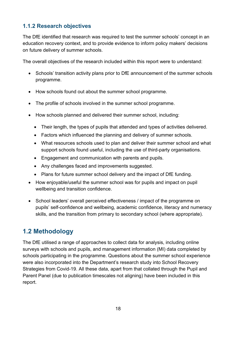## <span id="page-17-0"></span>**1.1.2 Research objectives**

The DfE identified that research was required to test the summer schools' concept in an education recovery context, and to provide evidence to inform policy makers' decisions on future delivery of summer schools.

The overall objectives of the research included within this report were to understand:

- Schools' transition activity plans prior to DfE announcement of the summer schools programme.
- How schools found out about the summer school programme.
- The profile of schools involved in the summer school programme.
- How schools planned and delivered their summer school, including:
	- Their length, the types of pupils that attended and types of activities delivered.
	- Factors which influenced the planning and delivery of summer schools.
	- What resources schools used to plan and deliver their summer school and what support schools found useful, including the use of third-party organisations.
	- Engagement and communication with parents and pupils.
	- Any challenges faced and improvements suggested.
	- Plans for future summer school delivery and the impact of DfE funding.
- How enjoyable/useful the summer school was for pupils and impact on pupil wellbeing and transition confidence.
- School leaders' overall perceived effectiveness / impact of the programme on pupils' self-confidence and wellbeing, academic confidence, literacy and numeracy skills, and the transition from primary to secondary school (where appropriate).

# <span id="page-17-1"></span>**1.2 Methodology**

The DfE utilised a range of approaches to collect data for analysis, including online surveys with schools and pupils, and management information (MI) data completed by schools participating in the programme. Questions about the summer school experience were also incorporated into the Department's research study into School Recovery Strategies from Covid-19. All these data, apart from that collated through the Pupil and Parent Panel (due to publication timescales not aligning) have been included in this report.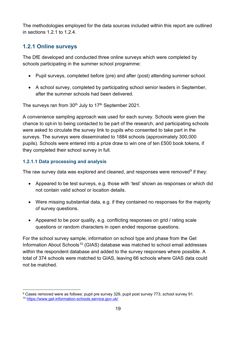The methodologies employed for the data sources included within this report are outlined in sections 1.2.1 to 1.2.4.

## <span id="page-18-0"></span>**1.2.1 Online surveys**

The DfE developed and conducted three online surveys which were completed by schools participating in the summer school programme:

- Pupil surveys, completed before (pre) and after (post) attending summer school.
- A school survey, completed by participating school senior leaders in September, after the summer schools had been delivered.

The surveys ran from  $30<sup>th</sup>$  July to 17<sup>th</sup> September 2021.

A convenience sampling approach was used for each survey. Schools were given the chance to opt-in to being contacted to be part of the research, and participating schools were asked to circulate the survey link to pupils who consented to take part in the surveys. The surveys were disseminated to 1884 schools (approximately 300,000 pupils). Schools were entered into a prize draw to win one of ten £500 book tokens, if they completed their school survey in full.

#### **1.2.1.1 Data processing and analysis**

The raw survey data was explored and cleaned, and responses were removed $9$  if they:

- Appeared to be test surveys, e.g. those with 'test' shown as responses or which did not contain valid school or location details.
- Were missing substantial data, e.g. if they contained no responses for the majority of survey questions.
- Appeared to be poor quality, e.g. conflicting responses on grid / rating scale questions or random characters in open ended response questions.

For the school survey sample, information on school type and phase from the Get Information About Schools<sup>[10](#page-18-2)</sup> (GIAS) database was matched to school email addresses within the respondent database and added to the survey responses where possible. A total of 374 schools were matched to GIAS, leaving 66 schools where GIAS data could not be matched.

<span id="page-18-1"></span><sup>9</sup> Cases removed were as follows: pupil pre survey 329, pupil post survey 773, school survey 91.

<span id="page-18-2"></span><sup>10</sup> <https://www.get-information-schools.service.gov.uk/>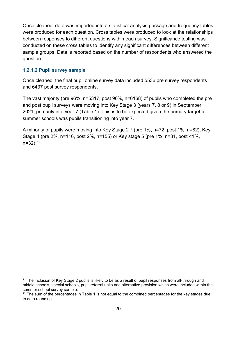Once cleaned, data was imported into a statistical analysis package and frequency tables were produced for each question. Cross tables were produced to look at the relationships between responses to different questions within each survey. Significance testing was conducted on these cross tables to identify any significant differences between different sample groups. Data is reported based on the number of respondents who answered the question.

#### **1.2.1.2 Pupil survey sample**

Once cleaned, the final pupil online survey data included 5536 pre survey respondents and 6437 post survey respondents.

The vast majority (pre 96%, n=5317, post 96%, n=6168) of pupils who completed the pre and post pupil surveys were moving into Key Stage 3 (years 7, 8 or 9) in September 2021, primarily into year 7 (Table 1). This is to be expected given the primary target for summer schools was pupils transitioning into year 7.

A minority of pupils were moving into Key Stage 2[11](#page-19-0) (pre 1%, n=72, post 1%, n=82), Key Stage 4 (pre 2%, n=116, post 2%, n=155) or Key stage 5 (pre 1%, n=31, post <1%,  $n=32$ ).  $12$ 

<span id="page-19-0"></span><sup>11</sup> The inclusion of Key Stage 2 pupils is likely to be as a result of pupil responses from all-through and middle schools, special schools, pupil referral units and alternative provision which were included within the summer school survey sample.

<span id="page-19-1"></span> $12$  The sum of the percentages in Table 1 is not equal to the combined percentages for the key stages due to data rounding.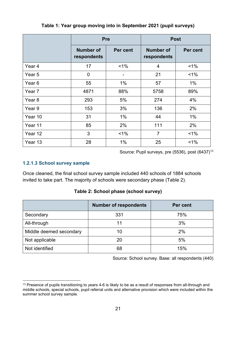<span id="page-20-0"></span>

|                   | <b>Pre</b>                      |          | <b>Post</b>                     |          |
|-------------------|---------------------------------|----------|---------------------------------|----------|
|                   | <b>Number of</b><br>respondents | Per cent | <b>Number of</b><br>respondents | Per cent |
| Year 4            | 17                              | $1\%$    | 4                               | 1%       |
| Year 5            | $\mathbf 0$                     |          | 21                              | $1\%$    |
| Year <sub>6</sub> | 55                              | $1\%$    | 57                              | $1\%$    |
| Year 7            | 4871                            | 88%      | 5758                            | 89%      |
| Year <sub>8</sub> | 293                             | 5%       | 274                             | 4%       |
| Year 9            | 153                             | 3%       | 136                             | 2%       |
| Year 10           | 31                              | $1\%$    | 44                              | $1\%$    |
| Year 11           | 85                              | 2%       | 111                             | 2%       |
| Year 12           | 3                               | $1\%$    | $\overline{7}$                  | $1\%$    |
| Year 13           | 28                              | 1%       | 25                              | 1%       |

#### **Table 1: Year group moving into in September 2021 (pupil surveys)**

Source: Pupil surveys, pre  $(5536)$ , post  $(6437)^{13}$  $(6437)^{13}$  $(6437)^{13}$ 

#### **1.2.1.3 School survey sample**

Once cleaned, the final school survey sample included 440 schools of 1884 schools invited to take part. The majority of schools were secondary phase (Table 2).

**Table 2: School phase (school survey)**

<span id="page-20-1"></span>

|                         | <b>Number of respondents</b> | Per cent |
|-------------------------|------------------------------|----------|
| Secondary               | 331                          | 75%      |
| All-through             | 11                           | 3%       |
| Middle deemed secondary | 10                           | 2%       |
| Not applicable          | 20                           | 5%       |
| Not identified          | 68                           | 15%      |

Source: School survey. Base: all respondents (440)

<span id="page-20-2"></span><sup>&</sup>lt;sup>13</sup> Presence of pupils transitioning to years 4-6 is likely to be as a result of responses from all-through and middle schools, special schools, pupil referral units and alternative provision which were included within the summer school survey sample.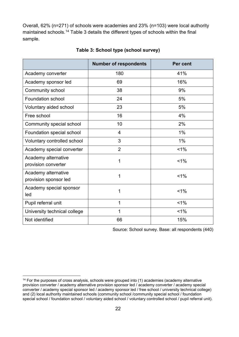Overall, 62% (n=271) of schools were academies and 23% (n=103) were local authority maintained schools.[14](#page-21-1) Table 3 details the different types of schools within the final sample.

<span id="page-21-0"></span>

|                                              | <b>Number of respondents</b> | Per cent |
|----------------------------------------------|------------------------------|----------|
| Academy converter                            | 180                          | 41%      |
| Academy sponsor led                          | 69                           | 16%      |
| Community school                             | 38                           | 9%       |
| Foundation school                            | 24                           | 5%       |
| Voluntary aided school                       | 23                           | 5%       |
| Free school                                  | 16                           | 4%       |
| Community special school                     | 10                           | 2%       |
| Foundation special school                    | 4                            | 1%       |
| Voluntary controlled school                  | 3                            | 1%       |
| Academy special converter                    | $\overline{2}$               | $< 1\%$  |
| Academy alternative<br>provision converter   | 1                            | $1\%$    |
| Academy alternative<br>provision sponsor led | 1                            | $< 1\%$  |
| Academy special sponsor<br>led               | 1                            | $< 1\%$  |
| Pupil referral unit                          | $\mathbf{1}$                 | $1\%$    |
| University technical college                 | 1                            | $1\%$    |
| Not identified                               | 66                           | 15%      |

#### **Table 3: School type (school survey)**

Source: School survey. Base: all respondents (440)

<span id="page-21-1"></span><sup>&</sup>lt;sup>14</sup> For the purposes of cross analysis, schools were grouped into (1) academies (academy alternative provision converter / academy alternative provision sponsor led / academy converter / academy special converter / academy special sponsor led / academy sponsor led / free school / university technical college) and (2) local authority maintained schools (community school /community special school / foundation special school / foundation school / voluntary aided school / voluntary controlled school / pupil referral unit).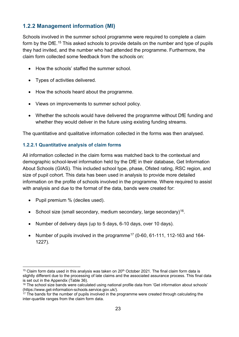## <span id="page-22-0"></span>**1.2.2 Management information (MI)**

Schools involved in the summer school programme were required to complete a claim form by the DfE.<sup>[15](#page-22-1)</sup> This asked schools to provide details on the number and type of pupils they had invited, and the number who had attended the programme. Furthermore, the claim form collected some feedback from the schools on:

- How the schools' staffed the summer school.
- Types of activities delivered.
- How the schools heard about the programme.
- Views on improvements to summer school policy.
- Whether the schools would have delivered the programme without DfE funding and whether they would deliver in the future using existing funding streams.

The quantitative and qualitative information collected in the forms was then analysed.

#### **1.2.2.1 Quantitative analysis of claim forms**

All information collected in the claim forms was matched back to the contextual and demographic school-level information held by the DfE in their database, Get Information About Schools (GIAS). This included school type, phase, Ofsted rating, RSC region, and size of pupil cohort. This data has been used in analysis to provide more detailed information on the profile of schools involved in the programme. Where required to assist with analysis and due to the format of the data, bands were created for:

- Pupil premium % (deciles used).
- School size (small secondary, medium secondary, large secondary)<sup>16</sup>.
- Number of delivery days (up to 5 days, 6-10 days, over 10 days).
- Number of pupils involved in the programme<sup>[17](#page-22-3)</sup> (0-60, 61-111, 112-163 and 164-1227).

<span id="page-22-1"></span> $15$  Claim form data used in this analysis was taken on 20<sup>th</sup> October 2021. The final claim form data is slightly different due to the processing of late claims and the associated assurance process. This final data is set out in the Appendix (Table 36).

<span id="page-22-2"></span><sup>&</sup>lt;sup>16</sup> The school size bands were calculated using national profile data from 'Get information about schools' (https://www.get-information-schools.service.gov.uk/).

<span id="page-22-3"></span><sup>&</sup>lt;sup>17</sup> The bands for the number of pupils involved in the programme were created through calculating the inter-quartile ranges from the claim form data.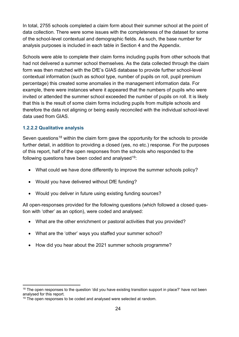In total, 2755 schools completed a claim form about their summer school at the point of data collection. There were some issues with the completeness of the dataset for some of the school-level contextual and demographic fields. As such, the base number for analysis purposes is included in each table in Section 4 and the Appendix.

Schools were able to complete their claim forms including pupils from other schools that had not delivered a summer school themselves. As the data collected through the claim form was then matched with the DfE's GIAS database to provide further school-level contextual information (such as school type, number of pupils on roll, pupil premium percentage) this created some anomalies in the management information data. For example, there were instances where it appeared that the numbers of pupils who were invited or attended the summer school exceeded the number of pupils on roll. It is likely that this is the result of some claim forms including pupils from multiple schools and therefore the data not aligning or being easily reconciled with the individual school-level data used from GIAS.

#### **1.2.2.2 Qualitative analysis**

Seven questions<sup>[18](#page-23-0)</sup> within the claim form gave the opportunity for the schools to provide further detail, in addition to providing a closed (yes, no etc.) response. For the purposes of this report, half of the open responses from the schools who responded to the following questions have been coded and analysed  $19$ :

- What could we have done differently to improve the summer schools policy?
- Would you have delivered without DfE funding?
- Would you deliver in future using existing funding sources?

All open-responses provided for the following questions (which followed a closed question with 'other' as an option), were coded and analysed:

- What are the other enrichment or pastoral activities that you provided?
- What are the 'other' ways you staffed your summer school?
- How did you hear about the 2021 summer schools programme?

<span id="page-23-0"></span><sup>&</sup>lt;sup>18</sup> The open responses to the question 'did you have existing transition support in place?' have not been analysed for this report.

<span id="page-23-1"></span><sup>&</sup>lt;sup>19</sup> The open responses to be coded and analysed were selected at random.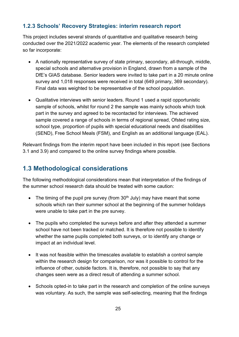## <span id="page-24-0"></span>**1.2.3 Schools' Recovery Strategies: interim research report**

This project includes several strands of quantitative and qualitative research being conducted over the 2021/2022 academic year. The elements of the research completed so far incorporate:

- A nationally representative survey of state primary, secondary, all-through, middle, special schools and alternative provision in England, drawn from a sample of the DfE's GIAS database. Senior leaders were invited to take part in a 20 minute online survey and 1,018 responses were received in total (649 primary, 369 secondary). Final data was weighted to be representative of the school population.
- Qualitative interviews with senior leaders. Round 1 used a rapid opportunistic sample of schools, whilst for round 2 the sample was mainly schools which took part in the survey and agreed to be recontacted for interviews. The achieved sample covered a range of schools in terms of regional spread, Ofsted rating size, school type, proportion of pupils with special educational needs and disabilities (SEND), Free School Meals (FSM), and English as an additional language (EAL).

Relevant findings from the interim report have been included in this report (see Sections 3.1 and 3.9) and compared to the online survey findings where possible.

# <span id="page-24-1"></span>**1.3 Methodological considerations**

The following methodological considerations mean that interpretation of the findings of the summer school research data should be treated with some caution:

- The timing of the pupil pre survey (from  $30<sup>th</sup>$  July) may have meant that some schools which ran their summer school at the beginning of the summer holidays were unable to take part in the pre survey.
- The pupils who completed the surveys before and after they attended a summer school have not been tracked or matched. It is therefore not possible to identify whether the same pupils completed both surveys, or to identify any change or impact at an individual level.
- It was not feasible within the timescales available to establish a control sample within the research design for comparison, nor was it possible to control for the influence of other, outside factors. It is, therefore, not possible to say that any changes seen were as a direct result of attending a summer school.
- Schools opted-in to take part in the research and completion of the online surveys was voluntary. As such, the sample was self-selecting, meaning that the findings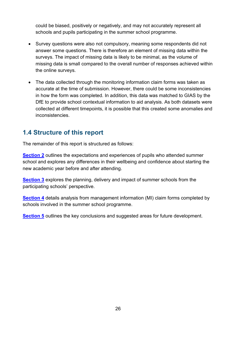could be biased, positively or negatively, and may not accurately represent all schools and pupils participating in the summer school programme.

- Survey questions were also not compulsory, meaning some respondents did not answer some questions. There is therefore an element of missing data within the surveys. The impact of missing data is likely to be minimal, as the volume of missing data is small compared to the overall number of responses achieved within the online surveys.
- The data collected through the monitoring information claim forms was taken as accurate at the time of submission. However, there could be some inconsistencies in how the form was completed. In addition, this data was matched to GIAS by the DfE to provide school contextual information to aid analysis. As both datasets were collected at different timepoints, it is possible that this created some anomalies and inconsistencies.

# <span id="page-25-0"></span>**1.4 Structure of this report**

The remainder of this report is structured as follows:

**[Section 2](#page-26-0)** outlines the expectations and experiences of pupils who attended summer school and explores any differences in their wellbeing and confidence about starting the new academic year before and after attending.

**[Section 3](#page-38-0)** explores the planning, delivery and impact of summer schools from the participating schools' perspective.

**[Section 4](#page-57-0)** details analysis from management information (MI) claim forms completed by schools involved in the summer school programme.

**[Section 5](#page-78-0)** outlines the key conclusions and suggested areas for future development.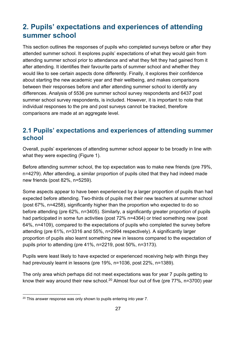# <span id="page-26-0"></span>**2. Pupils' expectations and experiences of attending summer school**

This section outlines the responses of pupils who completed surveys before or after they attended summer school. It explores pupils' expectations of what they would gain from attending summer school prior to attendance and what they felt they had gained from it after attending. It identifies their favourite parts of summer school and whether they would like to see certain aspects done differently. Finally, it explores their confidence about starting the new academic year and their wellbeing, and makes comparisons between their responses before and after attending summer school to identify any differences. Analysis of 5536 pre summer school survey respondents and 6437 post summer school survey respondents, is included. However, it is important to note that individual responses to the pre and post surveys cannot be tracked, therefore comparisons are made at an aggregate level.

# <span id="page-26-1"></span>**2.1 Pupils' expectations and experiences of attending summer school**

Overall, pupils' experiences of attending summer school appear to be broadly in line with what they were expecting (Figure 1).

Before attending summer school, the top expectation was to make new friends (pre 79%, n=4279). After attending, a similar proportion of pupils cited that they had indeed made new friends (post 82%, n=5259).

Some aspects appear to have been experienced by a larger proportion of pupils than had expected before attending. Two-thirds of pupils met their new teachers at summer school (post 67%, n=4258), significantly higher than the proportion who expected to do so before attending (pre 62%, n=3405). Similarly, a significantly greater proportion of pupils had participated in some fun activities (post 72% n=4364) or tried something new (post 64%, n=4109), compared to the expectations of pupils who completed the survey before attending (pre 61%, n=3316 and 55%, n=2994 respectively). A significantly larger proportion of pupils also learnt something new in lessons compared to the expectation of pupils prior to attending (pre 41%, n=2219, post 50%, n=3173).

Pupils were least likely to have expected or experienced receiving help with things they had previously learnt in lessons (pre 19%, n=1036, post 22%, n=1389).

The only area which perhaps did not meet expectations was for year 7 pupils getting to know their way around their new school.<sup>[20](#page-26-2)</sup> Almost four out of five (pre  $77\%$ , n=3700) year

<span id="page-26-2"></span><sup>&</sup>lt;sup>20</sup> This answer response was only shown to pupils entering into year 7.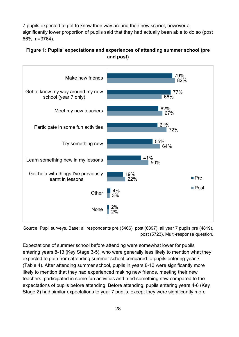7 pupils expected to get to know their way around their new school, however a significantly lower proportion of pupils said that they had actually been able to do so (post 66%, n=3764).

#### <span id="page-27-0"></span>**Figure 1: Pupils' expectations and experiences of attending summer school (pre and post)**



Source: Pupil surveys. Base: all respondents pre (5466), post (6397); all year 7 pupils pre (4819), post (5723). Multi-response question.

Expectations of summer school before attending were somewhat lower for pupils entering years 8-13 (Key Stage 3-5), who were generally less likely to mention what they expected to gain from attending summer school compared to pupils entering year 7 (Table 4). After attending summer school, pupils in years 8-13 were significantly more likely to mention that they had experienced making new friends, meeting their new teachers, participated in some fun activities and tried something new compared to the expectations of pupils before attending. Before attending, pupils entering years 4-6 (Key Stage 2) had similar expectations to year 7 pupils, except they were significantly more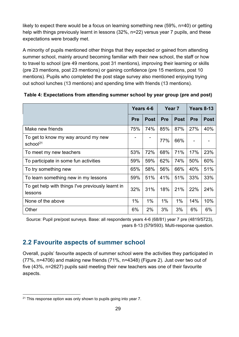likely to expect there would be a focus on learning something new (59%, n=40) or getting help with things previously learnt in lessons (32%, n=22) versus year 7 pupils, and these expectations were broadly met.

A minority of pupils mentioned other things that they expected or gained from attending summer school, mainly around becoming familiar with their new school, the staff or how to travel to school (pre 49 mentions, post 31 mentions), improving their learning or skills (pre 23 mentions, post 23 mentions) or gaining confidence (pre 15 mentions, post 10 mentions). Pupils who completed the post stage survey also mentioned enjoying trying out school lunches (13 mentions) and spending time with friends (13 mentions).

|                                                              | Years 4-6  |             | Year <sub>7</sub> |             | Years 8-13 |             |
|--------------------------------------------------------------|------------|-------------|-------------------|-------------|------------|-------------|
|                                                              | <b>Pre</b> | <b>Post</b> | <b>Pre</b>        | <b>Post</b> | <b>Pre</b> | <b>Post</b> |
| Make new friends                                             | 75%        | 74%         | 85%               | 87%         | 27%        | 40%         |
| To get to know my way around my new<br>school <sup>21</sup>  |            |             | 77%               | 66%         |            |             |
| To meet my new teachers                                      | 53%        | 72%         | 68%               | 71%         | 17%        | 23%         |
| To participate in some fun activities                        | 59%        | 59%         | 62%               | 74%         | 50%        | 60%         |
| To try something new                                         | 65%        | 58%         | 56%               | 66%         | 40%        | 51%         |
| To learn something new in my lessons                         | 59%        | 51%         | 41%               | 51%         | 33%        | 33%         |
| To get help with things I've previously learnt in<br>lessons | 32%        | 31%         | 18%               | 21%         | 22%        | 24%         |
| None of the above                                            | 1%         | $1\%$       | $1\%$             | 1%          | 14%        | 10%         |
| Other                                                        | 6%         | 2%          | 3%                | 3%          | 6%         | 6%          |

#### <span id="page-28-1"></span>**Table 4: Expectations from attending summer school by year group (pre and post)**

Source: Pupil pre/post surveys. Base: all respondents years 4-6 (68/81) year 7 pre (4819/5723), years 8-13 (579/593). Multi-response question.

# <span id="page-28-0"></span>**2.2 Favourite aspects of summer school**

Overall, pupils' favourite aspects of summer school were the activities they participated in (77%, n=4706) and making new friends (71%, n=4348) (Figure 2). Just over two out of five (43%, n=2627) pupils said meeting their new teachers was one of their favourite aspects.

<span id="page-28-2"></span> $21$  This response option was only shown to pupils going into year 7.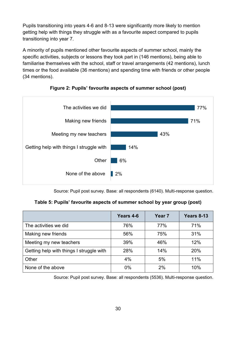Pupils transitioning into years 4-6 and 8-13 were significantly more likely to mention getting help with things they struggle with as a favourite aspect compared to pupils transitioning into year 7.

A minority of pupils mentioned other favourite aspects of summer school, mainly the specific activities, subjects or lessons they took part in (146 mentions), being able to familiarise themselves with the school, staff or travel arrangements (42 mentions), lunch times or the food available (36 mentions) and spending time with friends or other people (34 mentions).

<span id="page-29-0"></span>



Source: Pupil post survey. Base: all respondents (6140). Multi-response question.

**Table 5: Pupils' favourite aspects of summer school by year group (post)**

<span id="page-29-1"></span>

|                                          | Years 4-6 | Year <sub>7</sub> | Years 8-13 |
|------------------------------------------|-----------|-------------------|------------|
| The activities we did.                   | 76%       | 77%               | 71%        |
| Making new friends                       | 56%       | 75%               | 31%        |
| Meeting my new teachers                  | 39%       | 46%               | 12%        |
| Getting help with things I struggle with | 28%       | 14%               | 20%        |
| Other                                    | 4%        | 5%                | 11%        |
| None of the above                        | $0\%$     | 2%                | 10%        |

Source: Pupil post survey. Base: all respondents (5536). Multi-response question.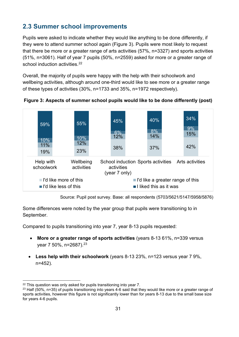# <span id="page-30-0"></span>**2.3 Summer school improvements**

Pupils were asked to indicate whether they would like anything to be done differently, if they were to attend summer school again (Figure 3). Pupils were most likely to request that there be more or a greater range of arts activities (57%, n=3327) and sports activities (51%, n=3061). Half of year 7 pupils (50%, n=2559) asked for more or a greater range of school induction activities.<sup>22</sup>

Overall, the majority of pupils were happy with the help with their schoolwork and wellbeing activities, although around one-third would like to see more or a greater range of these types of activities (30%, n=1733 and 35%, n=1972 respectively).



<span id="page-30-1"></span>**Figure 3: Aspects of summer school pupils would like to be done differently (post)** 

Source: Pupil post survey. Base: all respondents (5703/5621/5147/5958/5876)

Some differences were noted by the year group that pupils were transitioning to in September.

Compared to pupils transitioning into year 7, year 8-13 pupils requested:

- **More or a greater range of sports activities** (years 8-13 61%, n=339 versus year 7 50%, n=2687).[23](#page-30-3)
- **Less help with their schoolwork** (years 8-13 23%, n=123 versus year 7 9%, n=452).

<span id="page-30-2"></span> $22$  This question was only asked for pupils transitioning into year 7.

<span id="page-30-3"></span> $23$  Half (50%, n=35) of pupils transitioning into years 4-6 said that they would like more or a greater range of sports activities, however this figure is not significantly lower than for years 8-13 due to the small base size for years 4-6 pupils.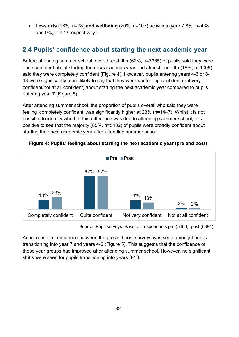• **Less arts** (18%, n=98) **and wellbeing** (20%, n=107) activities (year 7 8%, n=438 and 9%, n=472 respectively).

# <span id="page-31-0"></span>**2.4 Pupils' confidence about starting the next academic year**

Before attending summer school, over three-fifths (62%, n=3365) of pupils said they were quite confident about starting the new academic year and almost one-fifth (18%, n=1009) said they were completely confident (Figure 4). However, pupils entering years 4-6 or 8- 13 were significantly more likely to say that they were *not* feeling confident (not very confident/not at all confident) about starting the next academic year compared to pupils entering year 7 (Figure 5).

After attending summer school, the proportion of pupils overall who said they were feeling 'completely confident' was significantly higher at 23% (n=1447). Whilst it is not possible to identify whether this difference was due to attending summer school, it is positive to see that the majority (85%, n=5432) of pupils were broadly confident about starting their next academic year after attending summer school.



<span id="page-31-1"></span>**Figure 4: Pupils' feelings about starting the next academic year (pre and post)** 

Source: Pupil surveys. Base: all respondents pre (5466), post (6384)

An increase in confidence between the pre and post surveys was seen amongst pupils transitioning into year 7 and years 4-6 (Figure 5). This suggests that the confidence of these year groups had improved after attending summer school. However, no significant shifts were seen for pupils transitioning into years 8-13.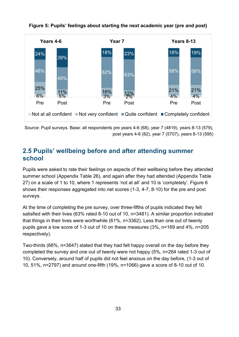<span id="page-32-1"></span>

**Figure 5: Pupils' feelings about starting the next academic year (pre and post)**

Source: Pupil surveys. Base: all respondents pre years 4-6 (68), year 7 (4819), years 8-13 (579), post years 4-6 (82), year 7 (5707), years 8-13 (595)

# <span id="page-32-0"></span>**2.5 Pupils' wellbeing before and after attending summer school**

Pupils were asked to rate their feelings on aspects of their wellbeing before they attended summer school (Appendix Table 26), and again after they had attended (Appendix Table 27) on a scale of 1 to 10, where 1 represents 'not at all' and 10 is 'completely'. Figure 6 shows their responses aggregated into net scores (1-3, 4-7, 8-10) for the pre and post surveys.

At the time of completing the pre survey, over three-fifths of pupils indicated they felt satisfied with their lives (63% rated 8-10 out of 10, n=3481). A similar proportion indicated that things in their lives were worthwhile (61%, n=3362). Less than one out of twenty pupils gave a low score of 1-3 out of 10 on these measures (3%, n=169 and 4%, n=205 respectively).

Two-thirds (66%, n=3647) stated that they had felt happy overall on the day before they completed the survey and one out of twenty were not happy (5%, n=264 rated 1-3 out of 10). Conversely, around half of pupils did not feel anxious on the day before, (1-3 out of 10, 51%, n=2797) and around one-fifth (19%, n=1066) gave a score of 8-10 out of 10.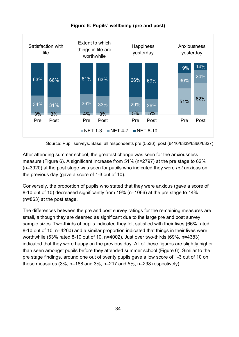<span id="page-33-0"></span>

#### **Figure 6: Pupils' wellbeing (pre and post)**

Source: Pupil surveys. Base: all respondents pre (5536), post (6410/6339/6360/6327)

After attending summer school, the greatest change was seen for the anxiousness measure (Figure 6). A significant increase from 51% (n=2797) at the pre stage to 62% (n=3920) at the post stage was seen for pupils who indicated they were *not* anxious on the previous day (gave a score of 1-3 out of 10).

Conversely, the proportion of pupils who stated that they were anxious (gave a score of 8-10 out of 10) decreased significantly from 19% (n=1066) at the pre stage to 14% (n=863) at the post stage.

The differences between the pre and post survey ratings for the remaining measures are small, although they are deemed as significant due to the large pre and post survey sample sizes. Two-thirds of pupils indicated they felt satisfied with their lives (66% rated 8-10 out of 10, n=4260) and a similar proportion indicated that things in their lives were worthwhile (63% rated 8-10 out of 10, n=4002). Just over two-thirds (69%, n=4383) indicated that they were happy on the previous day. All of these figures are slightly higher than seen amongst pupils before they attended summer school (Figure 6). Similar to the pre stage findings, around one out of twenty pupils gave a low score of 1-3 out of 10 on these measures (3%, n=188 and 3%, n=217 and 5%, n=298 respectively).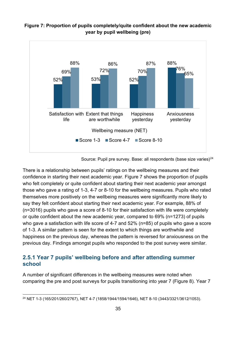

#### <span id="page-34-1"></span>**Figure 7: Proportion of pupils completely/quite confident about the new academic year by pupil wellbeing (pre)**

Source: Pupil pre survey. Base: all respondents (base size varies) $^{24}$  $^{24}$  $^{24}$ 

There is a relationship between pupils' ratings on the wellbeing measures and their confidence in starting their next academic year. Figure 7 shows the proportion of pupils who felt completely or quite confident about starting their next academic year amongst those who gave a rating of 1-3, 4-7 or 8-10 for the wellbeing measures. Pupils who rated themselves more positively on the wellbeing measures were significantly more likely to say they felt confident about starting their next academic year. For example, 88% of (n=3016) pupils who gave a score of 8-10 for their satisfaction with life were completely or quite confident about the new academic year, compared to 69% (n=1273) of pupils who gave a satisfaction with life score of 4-7 and 52% (n=85) of pupils who gave a score of 1-3. A similar pattern is seen for the extent to which things are worthwhile and happiness on the previous day, whereas the pattern is reversed for anxiousness on the previous day. Findings amongst pupils who responded to the post survey were similar.

#### <span id="page-34-0"></span>**2.5.1 Year 7 pupils' wellbeing before and after attending summer school**

A number of significant differences in the wellbeing measures were noted when comparing the pre and post surveys for pupils transitioning into year 7 (Figure 8). Year 7

<span id="page-34-2"></span><sup>24</sup> NET 1-3 (165/201/260/2767), NET 4-7 (1858/1944/1594/1646), NET 8-10 (3443/3321/3612/1053).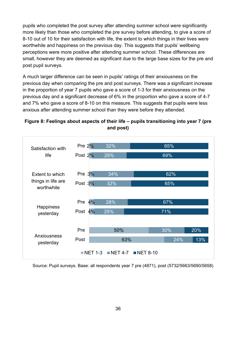pupils who completed the post survey after attending summer school were significantly more likely than those who completed the pre survey before attending, to give a score of 8-10 out of 10 for their satisfaction with life, the extent to which things in their lives were worthwhile and happiness on the previous day. This suggests that pupils' wellbeing perceptions were more positive after attending summer school. These differences are small, however they are deemed as significant due to the large base sizes for the pre and post pupil surveys.

A much larger difference can be seen in pupils' ratings of their anxiousness on the previous day when comparing the pre and post surveys. There was a significant increase in the proportion of year 7 pupils who gave a score of 1-3 for their anxiousness on the previous day and a significant decrease of 6% in the proportion who gave a score of 4-7 and 7% who gave a score of 8-10 on this measure. This suggests that pupils were less anxious after attending summer school than they were before they attended.



<span id="page-35-0"></span>**Figure 8: Feelings about aspects of their life – pupils transitioning into year 7 (pre and post)**

Source: Pupil surveys. Base: all respondents year 7 pre (4871), post (5732/5663/5690/5658)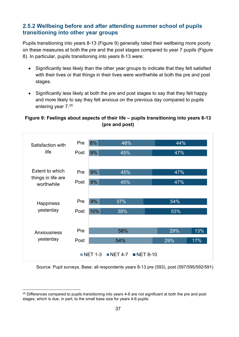### **2.5.2 Wellbeing before and after attending summer school of pupils transitioning into other year groups**

Pupils transitioning into years 8-13 (Figure 9) generally rated their wellbeing more poorly on these measures at both the pre and the post stages compared to year 7 pupils (Figure 8). In particular, pupils transitioning into years 8-13 were:

- Significantly less likely than the other year groups to indicate that they felt satisfied with their lives or that things in their lives were worthwhile at both the pre and post stages.
- Significantly less likely at both the pre and post stages to say that they felt happy and more likely to say they felt anxious on the previous day compared to pupils entering year 7.[25](#page-36-0)

### **Figure 9: Feelings about aspects of their life – pupils transitioning into years 8-13 (pre and post)**



Source: Pupil surveys. Base: all respondents years 8-13 pre (593), post (597/595/592/591)

<span id="page-36-0"></span><sup>&</sup>lt;sup>25</sup> Differences compared to pupils transitioning into years 4-6 are not significant at both the pre and post stages, which is due, in part, to the small base size for years 4-6 pupils.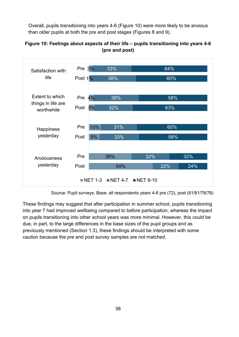Overall, pupils transitioning into years 4-6 (Figure 10) were more likely to be anxious than older pupils at both the pre and post stages (Figures 8 and 9).



### **Figure 10: Feelings about aspects of their life – pupils transitioning into years 4-6 (pre and post)**

These findings may suggest that after participation in summer school, pupils transitioning into year 7 had improved wellbeing compared to before participation, whereas the impact on pupils transitioning into other school years was more minimal. However, this could be due, in part, to the large differences in the base sizes of the pupil groups and as previously mentioned (Section 1.3), these findings should be interpreted with some caution because the pre and post survey samples are not matched.

Source: Pupil surveys. Base: all respondents years 4-6 pre (72), post (81/81/78/78)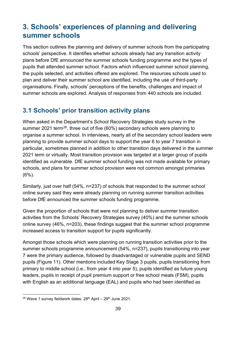# **3. Schools' experiences of planning and delivering summer schools**

This section outlines the planning and delivery of summer schools from the participating schools' perspective. It identifies whether schools already had any transition activity plans before DfE announced the summer schools funding programme and the types of pupils that attended summer school. Factors which influenced summer school planning, the pupils selected, and activities offered are explored. The resources schools used to plan and deliver their summer school are identified, including the use of third-party organisations. Finally, schools' perceptions of the benefits, challenges and impact of summer schools are explored. Analysis of responses from 440 schools are included.

## **3.1 Schools' prior transition activity plans**

When asked in the Department's School Recovery Strategies study survey in the summer 2021 term<sup>26</sup>, three out of five  $(60%)$  secondary schools were planning to organise a summer school. In interviews, nearly all of the secondary school leaders were planning to provide summer school days to support the year 6 to year 7 transition in particular, sometimes planned in addition to other transition days delivered in the summer 2021 term or virtually. Most transition provision was targeted at a larger group of pupils identified as vulnerable. DfE summer school funding was not made available for primary schools, and plans for summer school provision were not common amongst primaries (6%).

Similarly, just over half (54%, n=237) of schools that responded to the summer school online survey said they were already planning on running summer transition activities before DfE announced the summer schools funding programme.

Given the proportion of schools that were not planning to deliver summer transition activities from the Schools' Recovery Strategies survey (40%) and the summer schools online survey (46%, n=203), these findings suggest that the summer school programme increased access to transition support for pupils significantly.

Amongst those schools which were planning on running transition activities prior to the summer schools programme announcement (54%, n=237), pupils transitioning into year 7 were the primary audience, followed by disadvantaged or vulnerable pupils and SEND pupils (Figure 11). Other mentions included Key Stage 3 pupils, pupils transitioning from primary to middle school (i.e., from year 4 into year 5), pupils identified as future young leaders, pupils in receipt of pupil premium support or free school meals (FSM), pupils with English as an additional language (EAL) and pupils who had been identified as

<span id="page-38-0"></span> $26$  Wave 1 survey fieldwork dates:  $28<sup>th</sup>$  April –  $29<sup>th</sup>$  June 2021.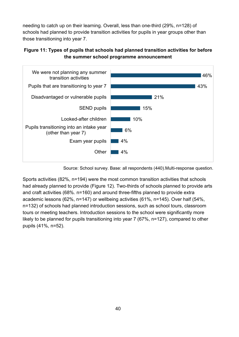needing to catch up on their learning. Overall, less than one-third (29%, n=128) of schools had planned to provide transition activities for pupils in year groups other than those transitioning into year 7.





Source: School survey. Base: all respondents (440).Multi-response question.

Sports activities (82%, n=194) were the most common transition activities that schools had already planned to provide (Figure 12). Two-thirds of schools planned to provide arts and craft activities (68%. n=160) and around three-fifths planned to provide extra academic lessons (62%, n=147) or wellbeing activities (61%, n=145). Over half (54%, n=132) of schools had planned introduction sessions, such as school tours, classroom tours or meeting teachers. Introduction sessions to the school were significantly more likely to be planned for pupils transitioning into year 7 (67%, n=127), compared to other pupils (41%, n=52).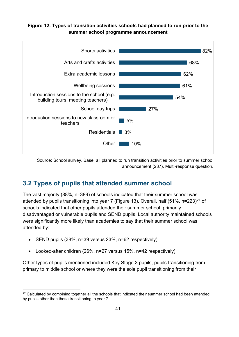### **Figure 12: Types of transition activities schools had planned to run prior to the summer school programme announcement**



Source: School survey. Base: all planned to run transition activities prior to summer school announcement (237). Multi-response question.

# **3.2 Types of pupils that attended summer school**

The vast majority (88%, n=389) of schools indicated that their summer school was attended by pupils transitioning into year 7 (Figure 13). Overall, half  $(51\%$ , n=223)<sup>27</sup> of schools indicated that other pupils attended their summer school, primarily disadvantaged or vulnerable pupils and SEND pupils. Local authority maintained schools were significantly more likely than academies to say that their summer school was attended by:

- SEND pupils (38%, n=39 versus 23%, n=62 respectively)
- Looked-after children (26%, n=27 versus 15%, n=42 respectively).

Other types of pupils mentioned included Key Stage 3 pupils, pupils transitioning from primary to middle school or where they were the sole pupil transitioning from their

<span id="page-40-0"></span><sup>&</sup>lt;sup>27</sup> Calculated by combining together all the schools that indicated their summer school had been attended by pupils other than those transitioning to year 7.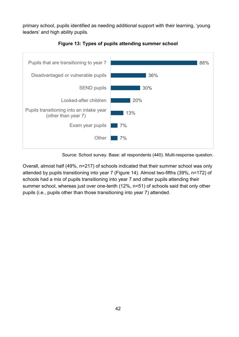primary school, pupils identified as needing additional support with their learning, 'young leaders' and high ability pupils.



**Figure 13: Types of pupils attending summer school**

Source: School survey. Base: all respondents (440). Multi-response question.

Overall, almost half (49%, n=217) of schools indicated that their summer school was only attended by pupils transitioning into year 7 (Figure 14). Almost two-fifths (39%, n=172) of schools had a mix of pupils transitioning into year 7 and other pupils attending their summer school, whereas just over one-tenth (12%, n=51) of schools said that only other pupils (i.e., pupils other than those transitioning into year 7) attended.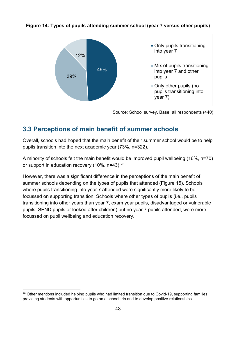

#### **Figure 14: Types of pupils attending summer school (year 7 versus other pupils)**

Source: School survey. Base: all respondents (440)

## **3.3 Perceptions of main benefit of summer schools**

Overall, schools had hoped that the main benefit of their summer school would be to help pupils transition into the next academic year (73%, n=322).

A minority of schools felt the main benefit would be improved pupil wellbeing (16%, n=70) or support in education recovery (10%, n=43).<sup>28</sup>

However, there was a significant difference in the perceptions of the main benefit of summer schools depending on the types of pupils that attended (Figure 15). Schools where pupils transitioning into year 7 attended were significantly more likely to be focussed on supporting transition. Schools where other types of pupils (i.e., pupils transitioning into other years than year 7, exam year pupils, disadvantaged or vulnerable pupils, SEND pupils or looked after children) but no year 7 pupils attended, were more focussed on pupil wellbeing and education recovery.

<span id="page-42-0"></span><sup>&</sup>lt;sup>28</sup> Other mentions included helping pupils who had limited transition due to Covid-19, supporting families, providing students with opportunities to go on a school trip and to develop positive relationships.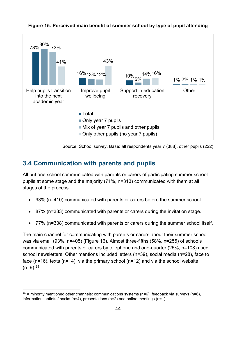

### **Figure 15: Perceived main benefit of summer school by type of pupil attending**

Source: School survey. Base: all respondents year 7 (388), other pupils (222)

## **3.4 Communication with parents and pupils**

All but one school communicated with parents or carers of participating summer school pupils at some stage and the majority (71%, n=313) communicated with them at all stages of the process:

- 93% (n=410) communicated with parents or carers before the summer school.
- 87% (n=383) communicated with parents or carers during the invitation stage.
- 77% (n=338) communicated with parents or carers during the summer school itself.

The main channel for communicating with parents or carers about their summer school was via email (93%, n=405) (Figure 16). Almost three-fifths (58%, n=255) of schools communicated with parents or carers by telephone and one-quarter (25%, n=108) used school newsletters. Other mentions included letters (n=39), social media (n=28), face to face (n=16), texts (n=14), via the primary school (n=12) and via the school website  $(n=9)$ .  $29$ 

<span id="page-43-0"></span> $^{29}$  A minority mentioned other channels: communications systems (n=6), feedback via surveys (n=6), information leaflets / packs (n=4), presentations (n=2) and online meetings (n=1).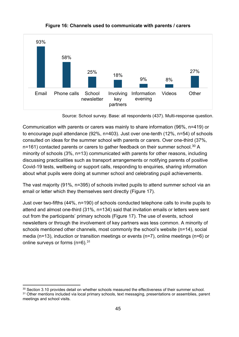

#### **Figure 16: Channels used to communicate with parents / carers**

Source: School survey. Base: all respondents (437). Multi-response question.

Communication with parents or carers was mainly to share information (96%, n=419) or to encourage pupil attendance (92%, n=403). Just over one-tenth (12%, n=54) of schools consulted on ideas for the summer school with parents or carers. Over one-third (37%, n=161) contacted parents or carers to gather feedback on their summer school.<sup>30</sup> A minority of schools (3%, n=13) communicated with parents for other reasons, including discussing practicalities such as transport arrangements or notifying parents of positive Covid-19 tests, wellbeing or support calls, responding to enquiries, sharing information about what pupils were doing at summer school and celebrating pupil achievements.

The vast majority (91%, n=395) of schools invited pupils to attend summer school via an email or letter which they themselves sent directly (Figure 17).

Just over two-fifths (44%, n=190) of schools conducted telephone calls to invite pupils to attend and almost one-third (31%, n=134) said that invitation emails or letters were sent out from the participants' primary schools (Figure 17). The use of events, school newsletters or through the involvement of key partners was less common. A minority of schools mentioned other channels, most commonly the school's website (n=14), social media (n=13), induction or transition meetings or events (n=7), online meetings (n=6) or online surveys or forms (n=6).<sup>[31](#page-44-1)</sup>

<span id="page-44-1"></span><span id="page-44-0"></span><sup>30</sup> Section 3.10 provides detail on whether schools measured the effectiveness of their summer school. <sup>31</sup> Other mentions included via local primary schools, text messaging, presentations or assemblies, parent meetings and school visits.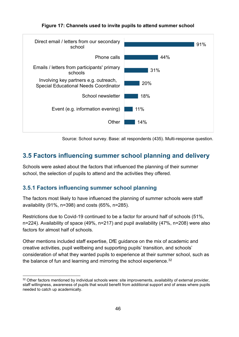### **Figure 17: Channels used to invite pupils to attend summer school**



Source: School survey. Base: all respondents (435). Multi-response question.

# **3.5 Factors influencing summer school planning and delivery**

Schools were asked about the factors that influenced the planning of their summer school, the selection of pupils to attend and the activities they offered.

### **3.5.1 Factors influencing summer school planning**

The factors most likely to have influenced the planning of summer schools were staff availability (91%, n=398) and costs (65%, n=285).

Restrictions due to Covid-19 continued to be a factor for around half of schools (51%, n=224). Availability of space (49%, n=217) and pupil availability (47%, n=208) were also factors for almost half of schools.

Other mentions included staff expertise, DfE guidance on the mix of academic and creative activities, pupil wellbeing and supporting pupils' transition, and schools' consideration of what they wanted pupils to experience at their summer school, such as the balance of fun and learning and mirroring the school experience. $^{32}$  $^{32}$  $^{32}$ 

<span id="page-45-0"></span><sup>&</sup>lt;sup>32</sup> Other factors mentioned by individual schools were: site improvements, availability of external provider, staff willingness, awareness of pupils that would benefit from additional support and of areas where pupils needed to catch up academically.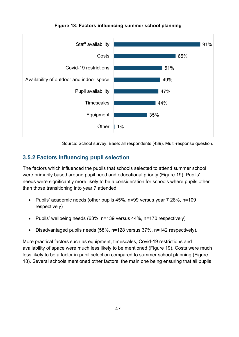

**Figure 18: Factors influencing summer school planning**

Source: School survey. Base: all respondents (439). Multi-response question.

### **3.5.2 Factors influencing pupil selection**

The factors which influenced the pupils that schools selected to attend summer school were primarily based around pupil need and educational priority (Figure 19). Pupils' needs were significantly more likely to be a consideration for schools where pupils other than those transitioning into year 7 attended:

- Pupils' academic needs (other pupils 45%, n=99 versus year 7 28%, n=109 respectively)
- Pupils' wellbeing needs (63%, n=139 versus 44%, n=170 respectively)
- Disadvantaged pupils needs (58%, n=128 versus 37%, n=142 respectively).

More practical factors such as equipment, timescales, Covid-19 restrictions and availability of space were much less likely to be mentioned (Figure 19). Costs were much less likely to be a factor in pupil selection compared to summer school planning (Figure 18). Several schools mentioned other factors, the main one being ensuring that all pupils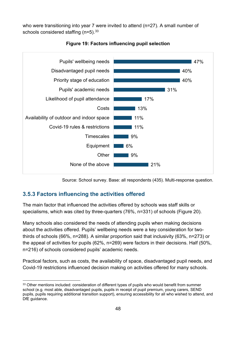who were transitioning into year 7 were invited to attend (n=27). A small number of schools considered staffing  $(n=5)$ . 33



**Figure 19: Factors influencing pupil selection**

Source: School survey. Base: all respondents (435). Multi-response question.

### **3.5.3 Factors influencing the activities offered**

The main factor that influenced the activities offered by schools was staff skills or specialisms, which was cited by three-quarters (76%, n=331) of schools (Figure 20).

Many schools also considered the needs of attending pupils when making decisions about the activities offered. Pupils' wellbeing needs were a key consideration for twothirds of schools (66%, n=288). A similar proportion said that inclusivity (63%, n=273) or the appeal of activities for pupils (62%, n=269) were factors in their decisions. Half (50%, n=216) of schools considered pupils' academic needs.

Practical factors, such as costs, the availability of space, disadvantaged pupil needs, and Covid-19 restrictions influenced decision making on activities offered for many schools.

<span id="page-47-0"></span><sup>&</sup>lt;sup>33</sup> Other mentions included: consideration of different types of pupils who would benefit from summer school (e.g. most able, disadvantaged pupils, pupils in receipt of pupil premium, young carers, SEND pupils, pupils requiring additional transition support), ensuring accessibility for all who wished to attend, and DfE guidance.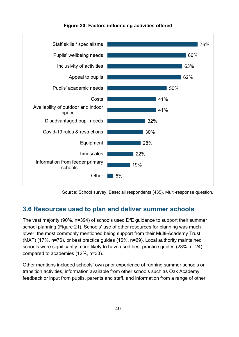

**Figure 20: Factors influencing activities offered**

Source: School survey. Base: all respondents (435). Multi-response question.

### **3.6 Resources used to plan and deliver summer schools**

The vast majority (90%, n=394) of schools used DfE guidance to support their summer school planning (Figure 21). Schools' use of other resources for planning was much lower, the most commonly mentioned being support from their Multi-Academy Trust (MAT) (17%, n=76), or best practice guides (16%, n=69). Local authority maintained schools were significantly more likely to have used best practice guides (23%, n=24) compared to academies (12%, n=33).

Other mentions included schools' own prior experience of running summer schools or transition activities, information available from other schools such as Oak Academy, feedback or input from pupils, parents and staff, and information from a range of other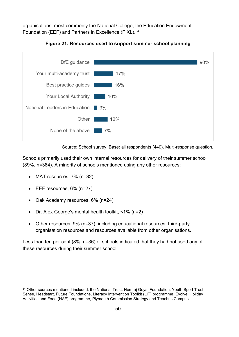organisations, most commonly the National College, the Education Endowment Foundation (EEF) and Partners in Excellence (PiXL).[34](#page-49-0)



**Figure 21: Resources used to support summer school planning** 

Source: School survey. Base: all respondents (440). Multi-response question.

Schools primarily used their own internal resources for delivery of their summer school (89%, n=384). A minority of schools mentioned using any other resources:

- MAT resources, 7% (n=32)
- EEF resources, 6% (n=27)
- Oak Academy resources, 6% (n=24)
- Dr. Alex George's mental health toolkit, <1% (n=2)
- Other resources, 9% (n=37), including educational resources, third-party organisation resources and resources available from other organisations.

Less than ten per cent (8%, n=36) of schools indicated that they had not used any of these resources during their summer school.

<span id="page-49-0"></span><sup>&</sup>lt;sup>34</sup> Other sources mentioned included: the National Trust, Hemraj Goyal Foundation, Youth Sport Trust, Sense, Headstart, Future Foundations, Literacy Intervention Toolkit (LIT) programme, Evolve, Holiday Activities and Food (HAF) programme, Plymouth Commission Strategy and Teachus Campus.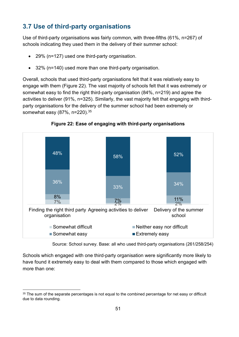# **3.7 Use of third-party organisations**

Use of third-party organisations was fairly common, with three-fifths (61%, n=267) of schools indicating they used them in the delivery of their summer school:

- 29% (n=127) used one third-party organisation.
- 32% (n=140) used more than one third-party organisation.

Overall, schools that used third-party organisations felt that it was relatively easy to engage with them (Figure 22). The vast majority of schools felt that it was extremely or somewhat easy to find the right third-party organisation (84%, n=219) and agree the activities to deliver (91%, n=325). Similarly, the vast majority felt that engaging with thirdparty organisations for the delivery of the summer school had been extremely or somewhat easy (87%, n=220).[35](#page-50-0)



**Figure 22: Ease of engaging with third-party organisations**

Source: School survey. Base: all who used third-party organisations (261/258/254)

Schools which engaged with one third-party organisation were significantly more likely to have found it extremely easy to deal with them compared to those which engaged with more than one:

<span id="page-50-0"></span><sup>&</sup>lt;sup>35</sup> The sum of the separate percentages is not equal to the combined percentage for net easy or difficult due to data rounding.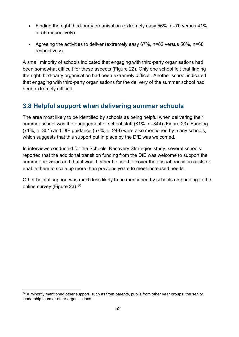- Finding the right third-party organisation (extremely easy 56%, n=70 versus 41%, n=56 respectively).
- Agreeing the activities to deliver (extremely easy 67%, n=82 versus 50%, n=68 respectively).

A small minority of schools indicated that engaging with third-party organisations had been somewhat difficult for these aspects (Figure 22). Only one school felt that finding the right third-party organisation had been extremely difficult. Another school indicated that engaging with third-party organisations for the delivery of the summer school had been extremely difficult.

# **3.8 Helpful support when delivering summer schools**

The area most likely to be identified by schools as being helpful when delivering their summer school was the engagement of school staff (81%, n=344) (Figure 23). Funding (71%, n=301) and DfE guidance (57%, n=243) were also mentioned by many schools, which suggests that this support put in place by the DfE was welcomed.

In interviews conducted for the Schools' Recovery Strategies study, several schools reported that the additional transition funding from the DfE was welcome to support the summer provision and that it would either be used to cover their usual transition costs or enable them to scale up more than previous years to meet increased needs.

Other helpful support was much less likely to be mentioned by schools responding to the online survey (Figure 23).[36](#page-51-0)

<span id="page-51-0"></span><sup>36</sup> A minority mentioned other support, such as from parents, pupils from other year groups, the senior leadership team or other organisations.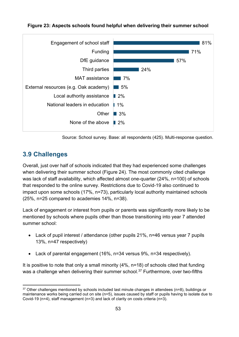

#### **Figure 23: Aspects schools found helpful when delivering their summer school**

Source: School survey. Base: all respondents (425). Multi-response question.

## **3.9 Challenges**

Overall, just over half of schools indicated that they had experienced some challenges when delivering their summer school (Figure 24). The most commonly cited challenge was lack of staff availability, which affected almost one-quarter (24%, n=100) of schools that responded to the online survey. Restrictions due to Covid-19 also continued to impact upon some schools (17%, n=73), particularly local authority maintained schools (25%, n=25 compared to academies 14%, n=38).

Lack of engagement or interest from pupils or parents was significantly more likely to be mentioned by schools where pupils other than those transitioning into year 7 attended summer school:

- Lack of pupil interest / attendance (other pupils 21%, n=46 versus year 7 pupils 13%, n=47 respectively)
- Lack of parental engagement (16%, n=34 versus 9%, n=34 respectively).

It is positive to note that only a small minority (4%, n=18) of schools cited that funding was a challenge when delivering their summer school. [37](#page-52-0) Furthermore, over two-fifths

<span id="page-52-0"></span> $37$  Other challenges mentioned by schools included last minute changes in attendees ( $n=8$ ), buildings or maintenance works being carried out on site (n=5), issues caused by staff or pupils having to isolate due to Covid-19 (n=4), staff management (n=3) and lack of clarity on costs criteria (n=3).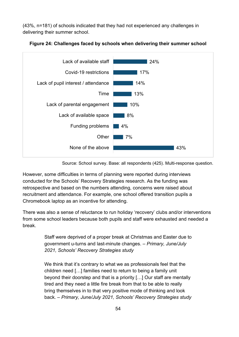(43%, n=181) of schools indicated that they had not experienced any challenges in delivering their summer school.



#### **Figure 24: Challenges faced by schools when delivering their summer school**

Source: School survey. Base: all respondents (425). Multi-response question.

However, some difficulties in terms of planning were reported during interviews conducted for the Schools' Recovery Strategies research. As the funding was retrospective and based on the numbers attending, concerns were raised about recruitment and attendance. For example, one school offered transition pupils a Chromebook laptop as an incentive for attending.

There was also a sense of reluctance to run holiday 'recovery' clubs and/or interventions from some school leaders because both pupils and staff were exhausted and needed a break.

> Staff were deprived of a proper break at Christmas and Easter due to government u-turns and last-minute changes. – *Primary, June/July 2021, Schools' Recovery Strategies study*

> We think that it's contrary to what we as professionals feel that the children need […] families need to return to being a family unit beyond their doorstep and that is a priority […] Our staff are mentally tired and they need a little fire break from that to be able to really bring themselves in to that very positive mode of thinking and look back. – *Primary, June/July 2021, Schools' Recovery Strategies study*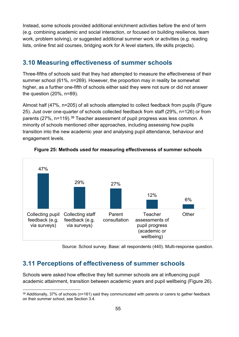Instead, some schools provided additional enrichment activities before the end of term (e.g. combining academic and social interaction, or focused on building resilience, team work, problem solving), or suggested additional summer work or activities (e.g. reading lists, online first aid courses, bridging work for A level starters, life skills projects).

### **3.10 Measuring effectiveness of summer schools**

Three-fifths of schools said that they had attempted to measure the effectiveness of their summer school (61%, n=269). However, the proportion may in reality be somewhat higher, as a further one-fifth of schools either said they were not sure or did not answer the question (20%, n=89).

Almost half (47%, n=205) of all schools attempted to collect feedback from pupils (Figure 25). Just over one-quarter of schools collected feedback from staff (29%, n=126) or from parents (27%, n=119).<sup>[38](#page-54-0)</sup> Teacher assessment of pupil progress was less common. A minority of schools mentioned other approaches, including assessing how pupils transition into the new academic year and analysing pupil attendance, behaviour and engagement levels.



#### **Figure 25: Methods used for measuring effectiveness of summer schools**

Source: School survey. Base: all respondents (440). Multi-response question.

## **3.11 Perceptions of effectiveness of summer schools**

Schools were asked how effective they felt summer schools are at influencing pupil academic attainment, transition between academic years and pupil wellbeing (Figure 26).

<span id="page-54-0"></span><sup>38</sup> Additionally, 37% of schools (n=161) said they communicated with parents or carers to gather feedback on their summer school, see Section 3.4.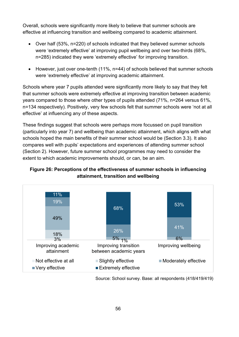Overall, schools were significantly more likely to believe that summer schools are effective at influencing transition and wellbeing compared to academic attainment.

- Over half (53%, n=220) of schools indicated that they believed summer schools were 'extremely effective' at improving pupil wellbeing and over two-thirds (68%, n=285) indicated they were 'extremely effective' for improving transition.
- However, just over one-tenth (11%, n=44) of schools believed that summer schools were 'extremely effective' at improving academic attainment.

Schools where year 7 pupils attended were significantly more likely to say that they felt that summer schools were extremely effective at improving transition between academic years compared to those where other types of pupils attended (71%, n=264 versus 61%, n=134 respectively). Positively, very few schools felt that summer schools were 'not at all effective' at influencing any of these aspects.

These findings suggest that schools were perhaps more focussed on pupil transition (particularly into year 7) and wellbeing than academic attainment, which aligns with what schools hoped the main benefits of their summer school would be (Section 3.3). It also compares well with pupils' expectations and experiences of attending summer school (Section 2). However, future summer school programmes may need to consider the extent to which academic improvements should, or can, be an aim.

### **Figure 26: Perceptions of the effectiveness of summer schools in influencing attainment, transition and wellbeing**



Source: School survey. Base: all respondents (418/419/419)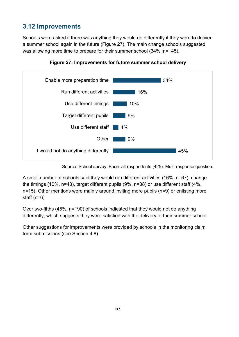# **3.12 Improvements**

Schools were asked if there was anything they would do differently if they were to deliver a summer school again in the future (Figure 27). The main change schools suggested was allowing more time to prepare for their summer school (34%, n=145).



**Figure 27: Improvements for future summer school delivery**

Source: School survey. Base: all respondents (425). Multi-response question.

A small number of schools said they would run different activities (16%, n=67), change the timings (10%, n=43), target different pupils (9%, n=38) or use different staff (4%, n=15). Other mentions were mainly around inviting more pupils (n=9) or enlisting more staff (n=6)

Over two-fifths (45%, n=190) of schools indicated that they would not do anything differently, which suggests they were satisfied with the delivery of their summer school.

Other suggestions for improvements were provided by schools in the monitoring claim form submissions (see Section 4.8).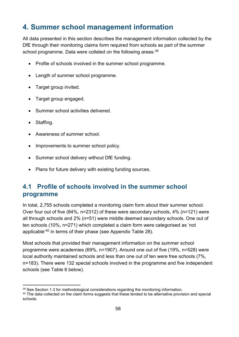# **4. Summer school management information**

All data presented in this section describes the management information collected by the DfE through their monitoring claims form required from schools as part of the summer school programme. Data were collated on the following areas: [39](#page-57-0)

- Profile of schools involved in the summer school programme.
- Length of summer school programme.
- Target group invited.
- Target group engaged.
- Summer school activities delivered.
- Staffing.
- Awareness of summer school.
- Improvements to summer school policy.
- Summer school delivery without DfE funding.
- Plans for future delivery with existing funding sources.

# **4.1 Profile of schools involved in the summer school programme**

In total, 2,755 schools completed a monitoring claim form about their summer school. Over four out of five (84%, n=2312) of these were secondary schools, 4% (n=121) were all through schools and 2% (n=51) were middle deemed secondary schools. One out of ten schools (10%, n=271) which completed a claim form were categorised as 'not applicable'[40](#page-57-1) in terms of their phase (see Appendix Table 28).

Most schools that provided their management information on the summer school programme were academies (69%, n=1907). Around one out of five (19%, n=528) were local authority maintained schools and less than one out of ten were free schools (7%, n=183). There were 132 special schools involved in the programme and five independent schools (see Table 6 below).

<span id="page-57-0"></span><sup>&</sup>lt;sup>39</sup> See Section 1.3 for methodological considerations regarding the monitoring information.

<span id="page-57-1"></span><sup>&</sup>lt;sup>40</sup> The data collected on the claim forms suggests that these tended to be alternative provision and special schools.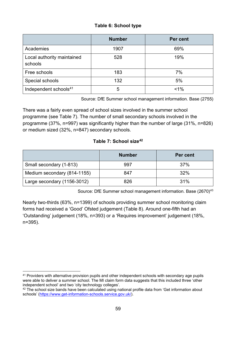### **Table 6: School type**

|                                       | <b>Number</b> | Per cent |
|---------------------------------------|---------------|----------|
| Academies                             | 1907          | 69%      |
| Local authority maintained<br>schools | 528           | 19%      |
| Free schools                          | 183           | 7%       |
| Special schools                       | 132           | 5%       |
| Independent schools <sup>41</sup>     | 5             | $< 1\%$  |

Source: DfE Summer school management information. Base (2755)

There was a fairly even spread of school sizes involved in the summer school programme (see Table 7). The number of small secondary schools involved in the programme (37%, n=997) was significantly higher than the number of large (31%, n=826) or medium sized (32%, n=847) secondary schools.

### **Table 7: School size[42](#page-58-1)**

|                             | <b>Number</b> | Per cent |
|-----------------------------|---------------|----------|
| Small secondary (1-813)     | 997           | 37%      |
| Medium secondary (814-1155) | 847           | 32%      |
| Large secondary (1156-3012) | 826           | 31%      |

Source: DfE Summer school management information. Base (2670)<sup>[43](#page-58-2)</sup>

Nearly two-thirds (63%, n=1399) of schools providing summer school monitoring claim forms had received a 'Good' Ofsted judgement (Table 8). Around one-fifth had an 'Outstanding' judgement (18%, n=393) or a 'Requires improvement' judgement (18%, n=395).

<span id="page-58-0"></span><sup>41</sup> Providers with alternative provision pupils and other independent schools with secondary age pupils were able to deliver a summer school. The MI claim form data suggests that this included three 'other independent school' and two 'city technology colleges'.

<span id="page-58-2"></span><span id="page-58-1"></span><sup>&</sup>lt;sup>42</sup> The school size bands have been calculated using national profile data from 'Get information about schools' [\(https://www.get-information-schools.service.gov.uk/\)](https://www.get-information-schools.service.gov.uk/).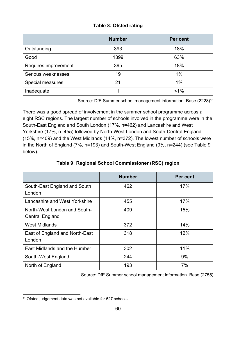### **Table 8: Ofsted rating**

|                      | <b>Number</b> | Per cent |
|----------------------|---------------|----------|
| Outstanding          | 393           | 18%      |
| Good                 | 1399          | 63%      |
| Requires improvement | 395           | 18%      |
| Serious weaknesses   | 19            | 1%       |
| Special measures     | 21            | 1%       |
| Inadequate           |               | $1\%$    |

Source: DfE Summer school management information. Base (2228)<sup>[44](#page-59-0)</sup>

There was a good spread of involvement in the summer school programme across all eight RSC regions. The largest number of schools involved in the programme were in the South-East England and South London (17%, n=462) and Lancashire and West Yorkshire (17%, n=455) followed by North-West London and South-Central England (15%, n=409) and the West Midlands (14%, n=372). The lowest number of schools were in the North of England (7%, n=193) and South-West England (9%, n=244) (see Table 9 below).

|                                                        | <b>Number</b> | Per cent |
|--------------------------------------------------------|---------------|----------|
| South-East England and South<br>London                 | 462           | 17%      |
| Lancashire and West Yorkshire                          | 455           | 17%      |
| North-West London and South-<br><b>Central England</b> | 409           | 15%      |
| <b>West Midlands</b>                                   | 372           | 14%      |
| East of England and North-East<br>London               | 318           | 12%      |
| East Midlands and the Humber                           | 302           | 11%      |
| South-West England                                     | 244           | 9%       |
| North of England                                       | 193           | 7%       |

### **Table 9: Regional School Commissioner (RSC) region**

Source: DfE Summer school management information. Base (2755)

<span id="page-59-0"></span><sup>44</sup> Ofsted judgement data was not available for 527 schools.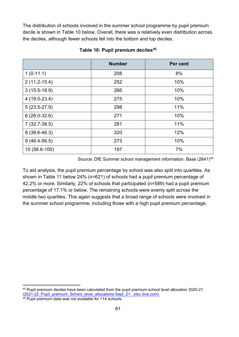The distribution of schools involved in the summer school programme by pupil premium decile is shown in Table 10 below. Overall, there was a relatively even distribution across the deciles, although fewer schools fell into the bottom and top deciles.

|                  | <b>Number</b> | Per cent |
|------------------|---------------|----------|
| $1(0-11.1)$      | 208           | 8%       |
| $2(11.2 - 15.4)$ | 252           | 10%      |
| $3(15.5-18.9)$   | 266           | 10%      |
| $4(19.0-23.4)$   | 275           | 10%      |
| $5(23.5-27.9)$   | 298           | 11%      |
| $6(28.0-32.6)$   | 271           | 10%      |
| $7(32.7-38.5)$   | 281           | 11%      |
| 8 (38.6-46.3)    | 320           | 12%      |
| $9(46.4-56.5)$   | 273           | 10%      |
| 10 (56.6-100)    | 197           | 7%       |

#### **Table 10: Pupil premium deciles[45](#page-60-0)**

Source: DfE Summer school management information. Base (2641)<sup>[46](#page-60-1)</sup>

To aid analysis, the pupil premium percentage by school was also split into quartiles. As shown in Table 11 below 24% (n=621) of schools had a pupil premium percentage of 42.2% or more. Similarly, 22% of schools that participated (n=589) had a pupil premium percentage of 17.1% or below. The remaining schools were evenly split across the middle two quartiles. This again suggests that a broad range of schools were involved in the summer school programme, including those with a high pupil premium percentage.

<span id="page-60-0"></span><sup>45</sup> Pupil premium deciles have been calculated from the pupil premium school level allocation 2020-21 [\(2021-22\\_Pupil\\_premium\\_School\\_level\\_allocations-Sept\\_21\\_.xlsx \(live.com\)](https://view.officeapps.live.com/op/view.aspx?src=https%3A%2F%2Fassets.publishing.service.gov.uk%2Fgovernment%2Fuploads%2Fsystem%2Fuploads%2Fattachment_data%2Ffile%2F1021264%2F2021-22_Pupil_premium_School_level_allocations-Sept_21_.xlsx&wdOrigin=BROWSELINK)

<span id="page-60-1"></span><sup>46</sup> Pupil premium data was not available for 114 schools.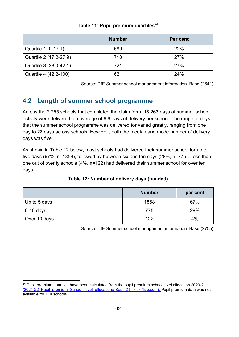|                        | <b>Number</b> | Per cent |
|------------------------|---------------|----------|
| Quartile 1 (0-17.1)    | 589           | 22%      |
| Quartile 2 (17.2-27.9) | 710           | 27%      |
| Quartile 3 (28.0-42.1) | 721           | 27%      |
| Quartile 4 (42.2-100)  | 621           | 24%      |

### **Table 11: Pupil premium quartiles[47](#page-61-0)**

Source: DfE Summer school management information. Base (2641)

# **4.2 Length of summer school programme**

Across the 2,755 schools that completed the claim form, 18,263 days of summer school activity were delivered, an average of 6.6 days of delivery per school. The range of days that the summer school programme was delivered for varied greatly, ranging from one day to 28 days across schools. However, both the median and mode number of delivery days was five.

As shown in Table 12 below, most schools had delivered their summer school for up to five days (67%, n=1858), followed by between six and ten days (28%, n=775). Less than one out of twenty schools (4%, n=122) had delivered their summer school for over ten days.

|              | <b>Number</b> | per cent |
|--------------|---------------|----------|
| Up to 5 days | 1858          | 67%      |
| $6-10$ days  | 775           | 28%      |
| Over 10 days | 122           | 4%       |

### **Table 12: Number of delivery days (banded)**

Source: DfE Summer school management information. Base (2755)

<span id="page-61-0"></span><sup>47</sup> Pupil premium quartiles have been calculated from the pupil premium school level allocation 2020-21 [\(2021-22\\_Pupil\\_premium\\_School\\_level\\_allocations-Sept\\_21\\_.xlsx \(live.com\).](https://view.officeapps.live.com/op/view.aspx?src=https%3A%2F%2Fassets.publishing.service.gov.uk%2Fgovernment%2Fuploads%2Fsystem%2Fuploads%2Fattachment_data%2Ffile%2F1021264%2F2021-22_Pupil_premium_School_level_allocations-Sept_21_.xlsx&wdOrigin=BROWSELINK) Pupil premium data was not available for 114 schools.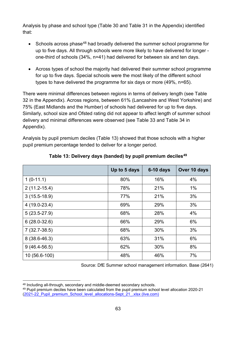Analysis by phase and school type (Table 30 and Table 31 in the Appendix) identified that:

- Schools across phase<sup>[48](#page-62-0)</sup> had broadly delivered the summer school programme for up to five days. All through schools were more likely to have delivered for longer one-third of schools (34%, n=41) had delivered for between six and ten days.
- Across types of school the majority had delivered their summer school programme for up to five days. Special schools were the most likely of the different school types to have delivered the programme for six days or more (49%, n=65).

There were minimal differences between regions in terms of delivery length (see Table 32 in the Appendix). Across regions, between 61% (Lancashire and West Yorkshire) and 75% (East Midlands and the Humber) of schools had delivered for up to five days. Similarly, school size and Ofsted rating did not appear to affect length of summer school delivery and minimal differences were observed (see Table 33 and Table 34 in Appendix).

Analysis by pupil premium deciles (Table 13) showed that those schools with a higher pupil premium percentage tended to deliver for a longer period.

|                  | Up to 5 days | $6-10$ days | Over 10 days |
|------------------|--------------|-------------|--------------|
| $1(0-11.1)$      | 80%          | 16%         | 4%           |
| $2(11.2 - 15.4)$ | 78%          | 21%         | $1\%$        |
| $3(15.5-18.9)$   | 77%          | 21%         | 3%           |
| $4(19.0-23.4)$   | 69%          | 29%         | 3%           |
| $5(23.5-27.9)$   | 68%          | 28%         | 4%           |
| $6(28.0-32.6)$   | 66%          | 29%         | 6%           |
| $7(32.7-38.5)$   | 68%          | 30%         | 3%           |
| $8(38.6 - 46.3)$ | 63%          | 31%         | 6%           |
| $9(46.4-56.5)$   | 62%          | 30%         | 8%           |
| 10 (56.6-100)    | 48%          | 46%         | 7%           |

### **Table 13: Delivery days (banded) by pupil premium deciles[49](#page-62-1)**

Source: DfE Summer school management information. Base (2641)

<span id="page-62-0"></span><sup>48</sup> Including all-through, secondary and middle-deemed secondary schools.

<span id="page-62-1"></span><sup>49</sup> Pupil premium deciles have been calculated from the pupil premium school level allocation 2020-21 [\(2021-22\\_Pupil\\_premium\\_School\\_level\\_allocations-Sept\\_21\\_.xlsx \(live.com\)](https://view.officeapps.live.com/op/view.aspx?src=https%3A%2F%2Fassets.publishing.service.gov.uk%2Fgovernment%2Fuploads%2Fsystem%2Fuploads%2Fattachment_data%2Ffile%2F1021264%2F2021-22_Pupil_premium_School_level_allocations-Sept_21_.xlsx&wdOrigin=BROWSELINK)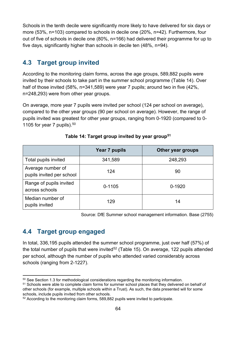Schools in the tenth decile were significantly more likely to have delivered for six days or more (53%, n=103) compared to schools in decile one (20%, n=42). Furthermore, four out of five of schools in decile one (80%, n=166) had delivered their programme for up to five days, significantly higher than schools in decile ten (48%, n=94).

# **4.3 Target group invited**

According to the monitoring claim forms, across the age groups, 589,882 pupils were invited by their schools to take part in the summer school programme (Table 14). Over half of those invited (58%, n=341,589) were year 7 pupils; around two in five (42%, n=248,293) were from other year groups.

On average, more year 7 pupils were invited per school (124 per school on average), compared to the other year groups (90 per school on average). However, the range of pupils invited was greatest for other year groups, ranging from 0-1920 (compared to 0- 1105 for year 7 pupils).  $50$ 

|                                                | Year 7 pupils | Other year groups |
|------------------------------------------------|---------------|-------------------|
| Total pupils invited                           | 341,589       | 248,293           |
| Average number of<br>pupils invited per school | 124           | 90                |
| Range of pupils invited<br>across schools      | $0 - 1105$    | $0 - 1920$        |
| Median number of<br>pupils invited             | 129           | 14                |

**Table 14: Target group invited by year group[51](#page-63-1)**

Source: DfE Summer school management information. Base (2755)

# **4.4 Target group engaged**

In total, 336,195 pupils attended the summer school programme, just over half (57%) of the total number of pupils that were invited<sup>[52](#page-63-2)</sup> (Table 15). On average, 122 pupils attended per school, although the number of pupils who attended varied considerably across schools (ranging from 2-1227).

<span id="page-63-0"></span><sup>&</sup>lt;sup>50</sup> See Section 1.3 for methodological considerations regarding the monitoring information.

<span id="page-63-1"></span><sup>51</sup> Schools were able to complete claim forms for summer school places that they delivered on behalf of other schools (for example, multiple schools within a Trust). As such, the data presented will for some schools, include pupils invited from other schools.

<span id="page-63-2"></span><sup>52</sup> According to the monitoring claim forms, 589,882 pupils were invited to participate.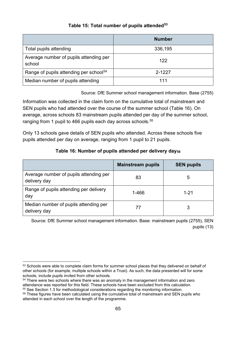### **Table 15: Total number of pupils attended[53](#page-64-0)**

|                                                    | <b>Number</b> |
|----------------------------------------------------|---------------|
| Total pupils attending                             | 336,195       |
| Average number of pupils attending per<br>school   | 122           |
| Range of pupils attending per school <sup>54</sup> | 2-1227        |
| Median number of pupils attending                  |               |

Source: DfE Summer school management information. Base (2755)

Information was collected in the claim form on the cumulative total of mainstream and SEN pupils who had attended over the course of the summer school (Table 16). On average, across schools 83 mainstream pupils attended per day of the summer school, ranging from 1 pupil to 466 pupils each day across schools.<sup>[55](#page-64-2)</sup>

Only 13 schools gave details of SEN pupils who attended. Across these schools five pupils attended per day on average, ranging from 1 pupil to 21 pupils.

### **Table 16: Number of pupils attended per delivery day[56](#page-64-3)**

|                                                        | <b>Mainstream pupils</b> | <b>SEN pupils</b> |
|--------------------------------------------------------|--------------------------|-------------------|
| Average number of pupils attending per<br>delivery day | 83                       | 5                 |
| Range of pupils attending per delivery<br>day          | 1-466                    | $1 - 21$          |
| Median number of pupils attending per<br>delivery day  |                          |                   |

Source: DfE Summer school management information. Base: mainstream pupils (2755), SEN pupils (13)

<span id="page-64-0"></span><sup>&</sup>lt;sup>53</sup> Schools were able to complete claim forms for summer school places that they delivered on behalf of other schools (for example, multiple schools within a Trust). As such, the data presented will for some schools, include pupils invited from other schools.

<span id="page-64-1"></span><sup>&</sup>lt;sup>54</sup> There were two schools where there was an anomaly in the management information and zero attendance was reported for this field. These schools have been excluded from this calculation. <sup>55</sup> See Section 1.3 for methodological considerations regarding the monitoring information.

<span id="page-64-3"></span><span id="page-64-2"></span><sup>&</sup>lt;sup>56</sup> These figures have been calculated using the cumulative total of mainstream and SEN pupils who attended in each school over the length of the programme.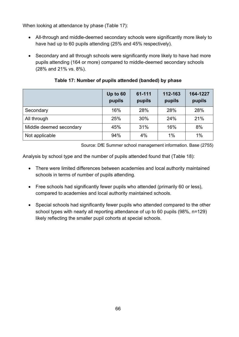When looking at attendance by phase (Table 17):

- All-through and middle-deemed secondary schools were significantly more likely to have had up to 60 pupils attending (25% and 45% respectively).
- Secondary and all through schools were significantly more likely to have had more pupils attending (164 or more) compared to middle-deemed secondary schools (28% and 21% vs. 8%).

|                         | Up to 60<br>pupils | 61-111<br>pupils | 112-163<br>pupils | 164-1227<br>pupils |
|-------------------------|--------------------|------------------|-------------------|--------------------|
| Secondary               | 16%                | 28%              | 28%               | 28%                |
| All through             | 25%                | 30%              | 24%               | 21%                |
| Middle deemed secondary | 45%                | 31%              | 16%               | 8%                 |
| Not applicable          | 94%                | 4%               | $1\%$             | 1%                 |

**Table 17: Number of pupils attended (banded) by phase**

Source: DfE Summer school management information. Base (2755)

Analysis by school type and the number of pupils attended found that (Table 18):

- There were limited differences between academies and local authority maintained schools in terms of number of pupils attending.
- Free schools had significantly fewer pupils who attended (primarily 60 or less), compared to academies and local authority maintained schools.
- Special schools had significantly fewer pupils who attended compared to the other school types with nearly all reporting attendance of up to 60 pupils (98%, n=129) likely reflecting the smaller pupil cohorts at special schools.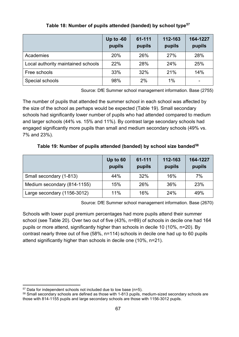|                                    | Up to $-60$<br>pupils | 61-111<br>pupils | 112-163<br>pupils | 164-1227<br>pupils |
|------------------------------------|-----------------------|------------------|-------------------|--------------------|
| Academies                          | 20%                   | 26%              | 27%               | 28%                |
| Local authority maintained schools | 22%                   | 28%              | 24%               | 25%                |
| Free schools                       | 33%                   | 32%              | 21%               | 14%                |
| Special schools                    | 98%                   | 2%               | 1%                |                    |

### **Table 18: Number of pupils attended (banded) by school type[57](#page-66-0)**

Source: DfE Summer school management information. Base (2755)

The number of pupils that attended the summer school in each school was affected by the size of the school as perhaps would be expected (Table 19). Small secondary schools had significantly lower number of pupils who had attended compared to medium and larger schools (44% vs. 15% and 11%). By contrast large secondary schools had engaged significantly more pupils than small and medium secondary schools (49% vs. 7% and 23%).

**Table 19: Number of pupils attended (banded) by school size banded[58](#page-66-1)**

|                             | Up to 60<br>pupils | 61-111<br>pupils | 112-163<br>pupils | 164-1227<br>pupils |
|-----------------------------|--------------------|------------------|-------------------|--------------------|
| Small secondary (1-813)     | 44%                | 32%              | 16%               | 7%                 |
| Medium secondary (814-1155) | 15%                | 26%              | 36%               | 23%                |
| Large secondary (1156-3012) | 11%                | 16%              | 24%               | 49%                |

Source: DfE Summer school management information. Base (2670)

Schools with lower pupil premium percentages had more pupils attend their summer school (see Table 20). Over two out of five (43%, n=89) of schools in decile one had 164 pupils or more attend, significantly higher than schools in decile 10 (10%, n=20). By contrast nearly three out of five (58%, n=114) schools in decile one had up to 60 pupils attend significantly higher than schools in decile one (10%, n=21).

<span id="page-66-0"></span> $57$  Data for independent schools not included due to low base (n=5).

<span id="page-66-1"></span><sup>58</sup> Small secondary schools are defined as those with 1-813 pupils, medium-sized secondary schools are those with 814-1155 pupils and large secondary schools are those with 1156-3012 pupils.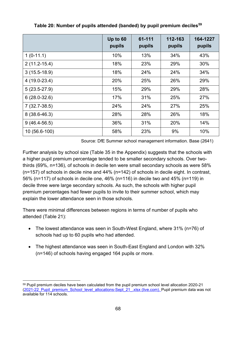|                  | Up to 60<br>pupils | 61-111<br>pupils | 112-163<br>pupils | 164-1227<br>pupils |
|------------------|--------------------|------------------|-------------------|--------------------|
| $1(0-11.1)$      | 10%                | 13%              | 34%               | 43%                |
| $2(11.2 - 15.4)$ | 18%                | 23%              | 29%               | 30%                |
| $3(15.5-18.9)$   | 18%                | 24%              | 24%               | 34%                |
| $4(19.0-23.4)$   | 20%                | 25%              | 26%               | 29%                |
| $5(23.5-27.9)$   | 15%                | 29%              | 29%               | 28%                |
| $6(28.0-32.6)$   | 17%                | 31%              | 25%               | 27%                |
| $7(32.7-38.5)$   | 24%                | 24%              | 27%               | 25%                |
| $8(38.6 - 46.3)$ | 28%                | 28%              | 26%               | 18%                |
| $9(46.4-56.5)$   | 36%                | 31%              | 20%               | 14%                |
| 10 (56.6-100)    | 58%                | 23%              | 9%                | 10%                |

**Table 20: Number of pupils attended (banded) by pupil premium deciles[59](#page-67-0)** 

Source: DfE Summer school management information. Base (2641)

Further analysis by school size (Table 35 in the Appendix) suggests that the schools with a higher pupil premium percentage tended to be smaller secondary schools. Over twothirds (69%, n=136), of schools in decile ten were small secondary schools as were 58% (n=157) of schools in decile nine and 44% (n=142) of schools in decile eight. In contrast, 56% (n=117) of schools in decile one, 46% (n=116) in decile two and 45% (n=119) in decile three were large secondary schools. As such, the schools with higher pupil premium percentages had fewer pupils to invite to their summer school, which may explain the lower attendance seen in those schools.

There were minimal differences between regions in terms of number of pupils who attended (Table 21):

- The lowest attendance was seen in South-West England, where 31% (n=76) of schools had up to 60 pupils who had attended.
- The highest attendance was seen in South-East England and London with 32% (n=146) of schools having engaged 164 pupils or more.

<span id="page-67-0"></span><sup>59</sup> Pupil premium deciles have been calculated from the pupil premium school level allocation 2020-21 [\(2021-22\\_Pupil\\_premium\\_School\\_level\\_allocations-Sept\\_21\\_.xlsx \(live.com\).](https://view.officeapps.live.com/op/view.aspx?src=https%3A%2F%2Fassets.publishing.service.gov.uk%2Fgovernment%2Fuploads%2Fsystem%2Fuploads%2Fattachment_data%2Ffile%2F1021264%2F2021-22_Pupil_premium_School_level_allocations-Sept_21_.xlsx&wdOrigin=BROWSELINK) Pupil premium data was not available for 114 schools.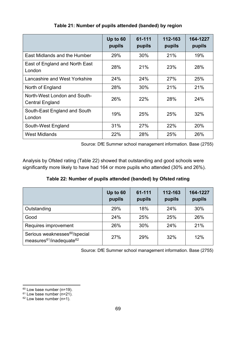|                                                        | Up to 60<br>pupils | 61-111<br>pupils | 112-163<br>pupils | 164-1227<br>pupils |
|--------------------------------------------------------|--------------------|------------------|-------------------|--------------------|
| East Midlands and the Humber                           | 29%                | 30%              | 21%               | 19%                |
| East of England and North East<br>London               | 28%                | 21%              | 23%               | 28%                |
| Lancashire and West Yorkshire                          | 24%                | 24%              | 27%               | 25%                |
| North of England                                       | 28%                | 30%              | 21%               | 21%                |
| North-West London and South-<br><b>Central England</b> | 26%                | 22%              | 28%               | 24%                |
| South-East England and South<br>London                 | 19%                | 25%              | 25%               | 32%                |
| South-West England                                     | 31%                | 27%              | 22%               | 20%                |
| <b>West Midlands</b>                                   | 22%                | 28%              | 25%               | 26%                |

**Table 21: Number of pupils attended (banded) by region**

Source: DfE Summer school management information. Base (2755)

Analysis by Ofsted rating (Table 22) showed that outstanding and good schools were significantly more likely to have had 164 or more pupils who attended (30% and 26%).

**Table 22: Number of pupils attended (banded) by Ofsted rating**

|                                                                                               | Up to 60<br>pupils | 61-111<br>pupils | 112-163<br>pupils | 164-1227<br>pupils |
|-----------------------------------------------------------------------------------------------|--------------------|------------------|-------------------|--------------------|
| Outstanding                                                                                   | 29%                | 18%              | 24%               | 30%                |
| Good                                                                                          | 24%                | 25%              | 25%               | 26%                |
| Requires improvement                                                                          | 26%                | 30%              | 24%               | 21%                |
| Serious weaknesses <sup>60</sup> /special<br>measures <sup>61</sup> /inadequate <sup>62</sup> | 27%                | 29%              | 32%               | 12%                |

Source: DfE Summer school management information. Base (2755)

<span id="page-68-0"></span><sup>60</sup> Low base number (n=19).

<span id="page-68-1"></span> $61$  Low base number (n=21).

<span id="page-68-2"></span> $62$  Low base number (n=1).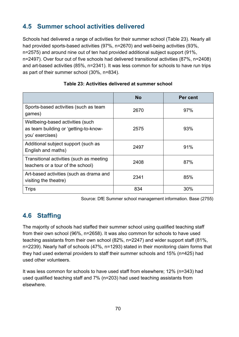# **4.5 Summer school activities delivered**

Schools had delivered a range of activities for their summer school (Table 23). Nearly all had provided sports-based activities (97%, n=2670) and well-being activities (93%, n=2575) and around nine out of ten had provided additional subject support (91%, n=2497). Over four out of five schools had delivered transitional activities (87%, n=2408) and art-based activities (85%, n=2341). It was less common for schools to have run trips as part of their summer school (30%, n=834).

|                                                                                              | <b>No</b> | Per cent |
|----------------------------------------------------------------------------------------------|-----------|----------|
| Sports-based activities (such as team<br>games)                                              | 2670      | 97%      |
| Wellbeing-based activities (such<br>as team building or 'getting-to-know-<br>you' exercises) | 2575      | 93%      |
| Additional subject support (such as<br>English and maths)                                    | 2497      | 91%      |
| Transitional activities (such as meeting<br>teachers or a tour of the school)                | 2408      | 87%      |
| Art-based activities (such as drama and<br>visiting the theatre)                             | 2341      | 85%      |
| <b>Trips</b>                                                                                 | 834       | 30%      |

### **Table 23: Activities delivered at summer school**

Source: DfE Summer school management information. Base (2755)

# **4.6 Staffing**

The majority of schools had staffed their summer school using qualified teaching staff from their own school (96%, n=2658). It was also common for schools to have used teaching assistants from their own school (82%, n=2247) and wider support staff (81%, n=2239). Nearly half of schools (47%, n=1293) stated in their monitoring claim forms that they had used external providers to staff their summer schools and 15% (n=425) had used other volunteers.

It was less common for schools to have used staff from elsewhere; 12% (n=343) had used qualified teaching staff and 7% (n=203) had used teaching assistants from elsewhere.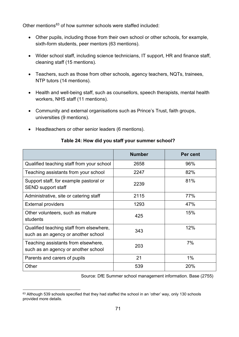Other mentions<sup>[63](#page-70-0)</sup> of how summer schools were staffed included:

- Other pupils, including those from their own school or other schools, for example, sixth-form students, peer mentors (63 mentions).
- Wider school staff, including science technicians, IT support, HR and finance staff, cleaning staff (15 mentions).
- Teachers, such as those from other schools, agency teachers, NQTs, trainees, NTP tutors (14 mentions).
- Health and well-being staff, such as counsellors, speech therapists, mental health workers, NHS staff (11 mentions).
- Community and external organisations such as Prince's Trust, faith groups, universities (9 mentions).
- Headteachers or other senior leaders (6 mentions).

|                                                                                 | <b>Number</b> | Per cent |
|---------------------------------------------------------------------------------|---------------|----------|
| Qualified teaching staff from your school                                       | 2658          | 96%      |
| Teaching assistants from your school                                            | 2247          | 82%      |
| Support staff, for example pastoral or<br><b>SEND support staff</b>             | 2239          | 81%      |
| Administrative, site or catering staff                                          | 2115          | 77%      |
| <b>External providers</b>                                                       | 1293          | 47%      |
| Other volunteers, such as mature<br>students                                    | 425           | 15%      |
| Qualified teaching staff from elsewhere,<br>such as an agency or another school | 343           | 12%      |
| Teaching assistants from elsewhere,<br>such as an agency or another school      | 203           | 7%       |
| Parents and carers of pupils                                                    | 21            | 1%       |
| Other                                                                           | 539           | 20%      |

### **Table 24: How did you staff your summer school?**

Source: DfE Summer school management information. Base (2755)

<span id="page-70-0"></span><sup>&</sup>lt;sup>63</sup> Although 539 schools specified that they had staffed the school in an 'other' way, only 130 schools provided more details.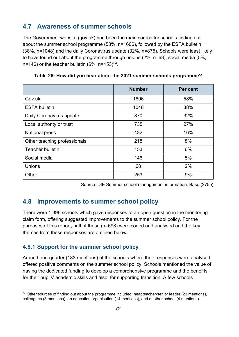## **4.7 Awareness of summer schools**

The Government website (gov.uk) had been the main source for schools finding out about the summer school programme (58%, n=1606), followed by the ESFA bulletin (38%, n=1048) and the daily Coronavirus update (32%, n=875). Schools were least likely to have found out about the programme through unions (2%, n=68), social media (5%, n=146) or the teacher bulletin  $(6\% , n=153)^{64}$ .

|                              | <b>Number</b> | Per cent |
|------------------------------|---------------|----------|
| Gov.uk                       | 1606          | 58%      |
| <b>ESFA bulletin</b>         | 1048          | 38%      |
| Daily Coronavirus update     | 870           | 32%      |
| Local authority or trust     | 735           | 27%      |
| <b>National press</b>        | 432           | 16%      |
| Other teaching professionals | 218           | 8%       |
| <b>Teacher bulletin</b>      | 153           | 6%       |
| Social media                 | 146           | 5%       |
| <b>Unions</b>                | 68            | 2%       |
| Other                        | 253           | 9%       |

**Table 25: How did you hear about the 2021 summer schools programme?**

Source: DfE Summer school management information. Base (2755)

## **4.8 Improvements to summer school policy**

There were 1,396 schools which gave responses to an open question in the monitoring claim form, offering suggested improvements to the summer school policy. For the purposes of this report, half of these (n=698) were coded and analysed and the key themes from these responses are outlined below.

### **4.8.1 Support for the summer school policy**

Around one-quarter (183 mentions) of the schools where their responses were analysed offered positive comments on the summer school policy. Schools mentioned the value of having the dedicated funding to develop a comprehensive programme and the benefits for their pupils' academic skills and also, for supporting transition. A few schools

<span id="page-71-0"></span> $64$  Other sources of finding out about the programme included: headteacher/senior leader (23 mentions), colleagues (8 mentions), an education organisation (14 mentions), and another school (4 mentions).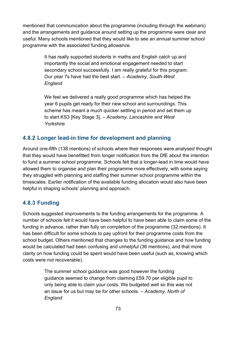mentioned that communication about the programme (including through the webinars) and the arrangements and guidance around setting up the programme were clear and useful. Many schools mentioned that they would like to see an annual summer school programme with the associated funding allowance.

> It has really supported students in maths and English catch up and importantly the social and emotional engagement needed to start secondary school successfully. I am really grateful for this program. Our year 7s have had the best start. – *Academy, South-West England*

We feel we delivered a really good programme which has helped the year 6 pupils get ready for their new school and surroundings. This scheme has meant a much quicker settling in period and set them up to start KS3 [Key Stage 3]. – *Academy, Lancashire and West Yorkshire*

### **4.8.2 Longer lead-in time for development and planning**

Around one-fifth (138 mentions) of schools where their responses were analysed thought that they would have benefitted from longer notification from the DfE about the intention to fund a summer school programme. Schools felt that a longer-lead in time would have allowed them to organise and plan their programme more effectively, with some saying they struggled with planning and staffing their summer school programme within the timescales. Earlier notification of the available funding allocation would also have been helpful in shaping schools' planning and approach.

### **4.8.3 Funding**

Schools suggested improvements to the funding arrangements for the programme. A number of schools felt it would have been helpful to have been able to claim some of the funding in advance, rather than fully on completion of the programme (32 mentions). It has been difficult for some schools to pay upfront for their programme costs from the school budget. Others mentioned that changes to the funding guidance and how funding would be calculated had been confusing and unhelpful (36 mentions), and that more clarity on how funding could be spent would have been useful (such as, knowing which costs were not recoverable).

> The summer school guidance was good however the funding guidance seemed to change from claiming £59.70 per eligible pupil to only being able to claim your costs. We budgeted well so this was not an issue for us but may be for other schools. – *Academy, North of England*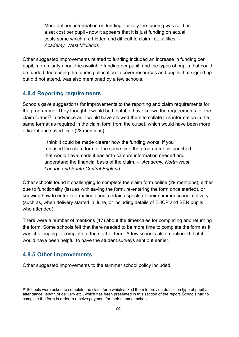More defined information on funding. Initially the funding was sold as a set cost per pupil - now it appears that it is just funding on actual costs some which are hidden and difficult to claim i.e., utilities. – *Academy, West Midlands*

Other suggested improvements related to funding included an increase in funding per pupil, more clarity about the available funding per pupil, and the types of pupils that could be funded. Increasing the funding allocation to cover resources and pupils that signed up but did not attend, was also mentioned by a few schools.

### **4.8.4 Reporting requirements**

Schools gave suggestions for improvements to the reporting and claim requirements for the programme. They thought it would be helpful to have known the requirements for the claim form[s65](#page-73-0) in advance as it would have allowed them to collate this information in the same format as required in the claim form from the outset, which would have been more efficient and saved time (28 mentions).

> I think it could be made clearer how the funding works. If you released the claim form at the same time the programme is launched that would have made it easier to capture information needed and understand the financial basis of the claim. – *Academy, North-West London and South-Central England*

Other schools found it challenging to complete the claim form online (29 mentions), either due to functionality (issues with saving the form, re-entering the form once started), or knowing how to enter information about certain aspects of their summer school delivery (such as, when delivery started in June, or including details of EHCP and SEN pupils who attended).

There were a number of mentions (17) about the timescales for completing and returning the form. Some schools felt that there needed to be more time to complete the form as it was challenging to complete at the start of term. A few schools also mentioned that it would have been helpful to have the student surveys sent out earlier.

## **4.8.5 Other improvements**

Other suggested improvements to the summer school policy included:

<span id="page-73-0"></span><sup>&</sup>lt;sup>65</sup> Schools were asked to complete the claim form which asked them to provide details on type of pupils, attendance, length of delivery etc., which has been presented in this section of the report. Schools had to complete the form in order to receive payment for their summer school.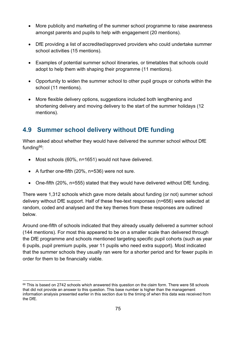- More publicity and marketing of the summer school programme to raise awareness amongst parents and pupils to help with engagement (20 mentions).
- DfE providing a list of accredited/approved providers who could undertake summer school activities (15 mentions).
- Examples of potential summer school itineraries, or timetables that schools could adopt to help them with shaping their programme (11 mentions).
- Opportunity to widen the summer school to other pupil groups or cohorts within the school (11 mentions).
- More flexible delivery options, suggestions included both lengthening and shortening delivery and moving delivery to the start of the summer holidays (12 mentions).

# **4.9 Summer school delivery without DfE funding**

When asked about whether they would have delivered the summer school without DfE funding $66$ :

- Most schools (60%, n=1651) would not have delivered.
- A further one-fifth (20%, n=536) were not sure.
- One-fifth (20%, n=555) stated that they would have delivered without DfE funding.

There were 1,312 schools which gave more details about funding (or not) summer school delivery without DfE support. Half of these free-text responses (n=656) were selected at random, coded and analysed and the key themes from these responses are outlined below.

Around one-fifth of schools indicated that they already usually delivered a summer school (144 mentions). For most this appeared to be on a smaller scale than delivered through the DfE programme and schools mentioned targeting specific pupil cohorts (such as year 6 pupils, pupil premium pupils, year 11 pupils who need extra support). Most indicated that the summer schools they usually ran were for a shorter period and for fewer pupils in order for them to be financially viable.

<span id="page-74-0"></span> $66$  This is based on 2742 schools which answered this question on the claim form. There were 58 schools that did not provide an answer to this question. This base number is higher than the management information analysis presented earlier in this section due to the timing of when this data was received from the DfE.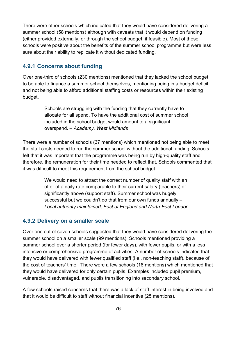There were other schools which indicated that they would have considered delivering a summer school (58 mentions) although with caveats that it would depend on funding (either provided externally, or through the school budget, if feasible). Most of these schools were positive about the benefits of the summer school programme but were less sure about their ability to replicate it without dedicated funding.

### **4.9.1 Concerns about funding**

Over one-third of schools (230 mentions) mentioned that they lacked the school budget to be able to finance a summer school themselves, mentioning being in a budget deficit and not being able to afford additional staffing costs or resources within their existing budget.

> Schools are struggling with the funding that they currently have to allocate for all spend. To have the additional cost of summer school included in the school budget would amount to a significant overspend. – *Academy, West Midlands*

There were a number of schools (37 mentions) which mentioned not being able to meet the staff costs needed to run the summer school without the additional funding. Schools felt that it was important that the programme was being run by high-quality staff and therefore, the remuneration for their time needed to reflect that. Schools commented that it was difficult to meet this requirement from the school budget.

> We would need to attract the correct number of quality staff with an offer of a daily rate comparable to their current salary (teachers) or significantly above (support staff). Summer school was hugely successful but we couldn't do that from our own funds annually – *Local authority maintained, East of England and North-East London.*

### **4.9.2 Delivery on a smaller scale**

Over one out of seven schools suggested that they would have considered delivering the summer school on a smaller scale (99 mentions). Schools mentioned providing a summer school over a shorter period (for fewer days), with fewer pupils, or with a less intensive or comprehensive programme of activities. A number of schools indicated that they would have delivered with fewer qualified staff (i.e., non-teaching staff), because of the cost of teachers' time. There were a few schools (18 mentions) which mentioned that they would have delivered for only certain pupils. Examples included pupil premium, vulnerable, disadvantaged, and pupils transitioning into secondary school.

A few schools raised concerns that there was a lack of staff interest in being involved and that it would be difficult to staff without financial incentive (25 mentions).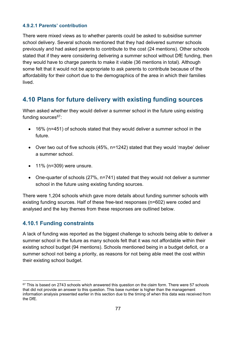#### **4.9.2.1 Parents' contribution**

There were mixed views as to whether parents could be asked to subsidise summer school delivery. Several schools mentioned that they had delivered summer schools previously and had asked parents to contribute to the cost (24 mentions). Other schools stated that if they were considering delivering a summer school without DfE funding, then they would have to charge parents to make it viable (36 mentions in total). Although some felt that it would not be appropriate to ask parents to contribute because of the affordability for their cohort due to the demographics of the area in which their families lived.

# **4.10 Plans for future delivery with existing funding sources**

When asked whether they would deliver a summer school in the future using existing funding sources $67$ :

- 16% (n=451) of schools stated that they would deliver a summer school in the future.
- Over two out of five schools (45%, n=1242) stated that they would 'maybe' deliver a summer school.
- $\bullet$  11% (n=309) were unsure.
- One-quarter of schools (27%, n=741) stated that they would not deliver a summer school in the future using existing funding sources.

There were 1,204 schools which gave more details about funding summer schools with existing funding sources. Half of these free-text responses (n=602) were coded and analysed and the key themes from these responses are outlined below.

## **4.10.1 Funding constraints**

A lack of funding was reported as the biggest challenge to schools being able to deliver a summer school in the future as many schools felt that it was not affordable within their existing school budget (94 mentions). Schools mentioned being in a budget deficit, or a summer school not being a priority, as reasons for not being able meet the cost within their existing school budget.

<span id="page-76-0"></span> $67$  This is based on 2743 schools which answered this question on the claim form. There were 57 schools that did not provide an answer to this question. This base number is higher than the management information analysis presented earlier in this section due to the timing of when this data was received from the DfE.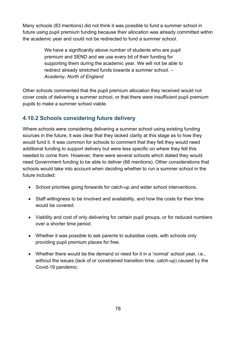Many schools (83 mentions) did not think it was possible to fund a summer school in future using pupil premium funding because their allocation was already committed within the academic year and could not be redirected to fund a summer school.

> We have a significantly above number of students who are pupil premium and SEND and we use every bit of their funding for supporting them during the academic year. We will not be able to redirect already stretched funds towards a summer school. – *Academy, North of England*

Other schools commented that the pupil premium allocation they received would not cover costs of delivering a summer school, or that there were insufficient pupil premium pupils to make a summer school viable.

## **4.10.2 Schools considering future delivery**

Where schools were considering delivering a summer school using existing funding sources in the future, it was clear that they lacked clarity at this stage as to how they would fund it. It was common for schools to comment that they felt they would need additional funding to support delivery but were less specific on where they felt this needed to come from. However, there were several schools which stated they would need Government funding to be able to deliver (66 mentions). Other considerations that schools would take into account when deciding whether to run a summer school in the future included:

- School priorities going forwards for catch-up and wider school interventions.
- Staff willingness to be involved and availability, and how the costs for their time would be covered.
- Viability and cost of only delivering for certain pupil groups, or for reduced numbers over a shorter time period.
- Whether it was possible to ask parents to subsidise costs, with schools only providing pupil premium places for free.
- Whether there would be the demand or need for it in a 'normal' school year, i.e., without the issues (lack of or constrained transition time, catch-up) caused by the Covid-19 pandemic.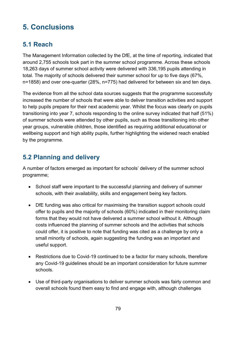# **5. Conclusions**

# **5.1 Reach**

The Management Information collected by the DfE, at the time of reporting, indicated that around 2,755 schools took part in the summer school programme. Across these schools 18,263 days of summer school activity were delivered with 336,195 pupils attending in total. The majority of schools delivered their summer school for up to five days (67%, n=1858) and over one-quarter (28%, n=775) had delivered for between six and ten days.

The evidence from all the school data sources suggests that the programme successfully increased the number of schools that were able to deliver transition activities and support to help pupils prepare for their next academic year. Whilst the focus was clearly on pupils transitioning into year 7, schools responding to the online survey indicated that half (51%) of summer schools were attended by other pupils, such as those transitioning into other year groups, vulnerable children, those identified as requiring additional educational or wellbeing support and high ability pupils, further highlighting the widened reach enabled by the programme.

# **5.2 Planning and delivery**

A number of factors emerged as important for schools' delivery of the summer school programme;

- School staff were important to the successful planning and delivery of summer schools, with their availability, skills and engagement being key factors.
- DfE funding was also critical for maximising the transition support schools could offer to pupils and the majority of schools (60%) indicated in their monitoring claim forms that they would not have delivered a summer school without it. Although costs influenced the planning of summer schools and the activities that schools could offer, it is positive to note that funding was cited as a challenge by only a small minority of schools, again suggesting the funding was an important and useful support.
- Restrictions due to Covid-19 continued to be a factor for many schools, therefore any Covid-19 guidelines should be an important consideration for future summer schools.
- Use of third-party organisations to deliver summer schools was fairly common and overall schools found them easy to find and engage with, although challenges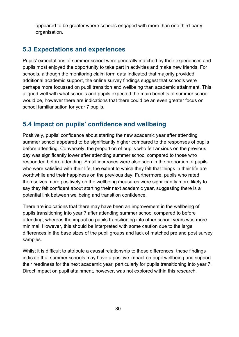appeared to be greater where schools engaged with more than one third-party organisation.

# **5.3 Expectations and experiences**

Pupils' expectations of summer school were generally matched by their experiences and pupils most enjoyed the opportunity to take part in activities and make new friends. For schools, although the monitoring claim form data indicated that majority provided additional academic support, the online survey findings suggest that schools were perhaps more focussed on pupil transition and wellbeing than academic attainment. This aligned well with what schools and pupils expected the main benefits of summer school would be, however there are indications that there could be an even greater focus on school familiarisation for year 7 pupils.

# **5.4 Impact on pupils' confidence and wellbeing**

Positively, pupils' confidence about starting the new academic year after attending summer school appeared to be significantly higher compared to the responses of pupils before attending. Conversely, the proportion of pupils who felt anxious on the previous day was significantly lower after attending summer school compared to those who responded before attending. Small increases were also seen in the proportion of pupils who were satisfied with their life, the extent to which they felt that things in their life are worthwhile and their happiness on the previous day. Furthermore, pupils who rated themselves more positively on the wellbeing measures were significantly more likely to say they felt confident about starting their next academic year, suggesting there is a potential link between wellbeing and transition confidence.

There are indications that there may have been an improvement in the wellbeing of pupils transitioning into year 7 after attending summer school compared to before attending, whereas the impact on pupils transitioning into other school years was more minimal. However, this should be interpreted with some caution due to the large differences in the base sizes of the pupil groups and lack of matched pre and post survey samples.

Whilst it is difficult to attribute a causal relationship to these differences, these findings indicate that summer schools may have a positive impact on pupil wellbeing and support their readiness for the next academic year, particularly for pupils transitioning into year 7. Direct impact on pupil attainment, however, was not explored within this research.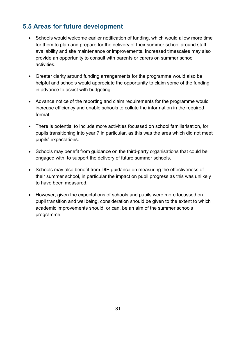# **5.5 Areas for future development**

- Schools would welcome earlier notification of funding, which would allow more time for them to plan and prepare for the delivery of their summer school around staff availability and site maintenance or improvements. Increased timescales may also provide an opportunity to consult with parents or carers on summer school activities.
- Greater clarity around funding arrangements for the programme would also be helpful and schools would appreciate the opportunity to claim some of the funding in advance to assist with budgeting.
- Advance notice of the reporting and claim requirements for the programme would increase efficiency and enable schools to collate the information in the required format.
- There is potential to include more activities focussed on school familiarisation, for pupils transitioning into year 7 in particular, as this was the area which did not meet pupils' expectations.
- Schools may benefit from guidance on the third-party organisations that could be engaged with, to support the delivery of future summer schools.
- Schools may also benefit from DfE guidance on measuring the effectiveness of their summer school, in particular the impact on pupil progress as this was unlikely to have been measured.
- However, given the expectations of schools and pupils were more focussed on pupil transition and wellbeing, consideration should be given to the extent to which academic improvements should, or can, be an aim of the summer schools programme.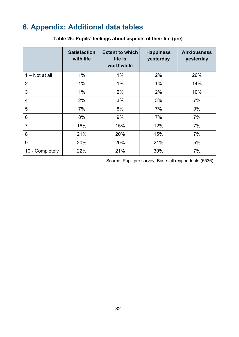# **6. Appendix: Additional data tables**

|                  | <b>Satisfaction</b><br>with life | <b>Extent to which</b><br>life is<br>worthwhile | <b>Happiness</b><br>yesterday | <b>Anxiousness</b><br>yesterday |
|------------------|----------------------------------|-------------------------------------------------|-------------------------------|---------------------------------|
| $1 - Not$ at all | $1\%$                            | 1%                                              | 2%                            | 26%                             |
| $\overline{2}$   | 1%                               | 1%                                              | 1%                            | 14%                             |
| 3                | 1%                               | 2%                                              | 2%                            | 10%                             |
| 4                | 2%                               | 3%                                              | 3%                            | 7%                              |
| 5                | 7%                               | 8%                                              | 7%                            | 9%                              |
| 6                | 8%                               | 9%                                              | 7%                            | 7%                              |
| $\overline{7}$   | 16%                              | 15%                                             | 12%                           | 7%                              |
| 8                | 21%                              | 20%                                             | 15%                           | 7%                              |
| 9                | 20%                              | 20%                                             | 21%                           | 5%                              |
| 10 - Completely  | 22%                              | 21%                                             | 30%                           | 7%                              |

### **Table 26: Pupils' feelings about aspects of their life (pre)**

Source: Pupil pre survey. Base: all respondents (5536)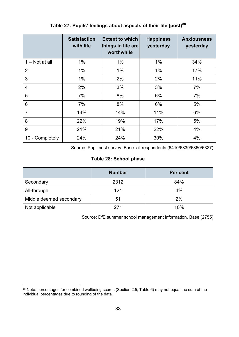|                 | <b>Satisfaction</b><br>with life | <b>Extent to which</b><br>things in life are<br>worthwhile | <b>Happiness</b><br>yesterday | <b>Anxiousness</b><br>yesterday |
|-----------------|----------------------------------|------------------------------------------------------------|-------------------------------|---------------------------------|
| 1 – Not at all  | 1%                               | $1\%$                                                      | $1\%$                         | 34%                             |
| $\overline{2}$  | 1%                               | $1\%$                                                      | $1\%$                         | 17%                             |
| 3               | 1%                               | 2%                                                         | 2%                            | 11%                             |
| 4               | 2%                               | 3%                                                         | 3%                            | 7%                              |
| 5               | 7%                               | 8%                                                         | 6%                            | 7%                              |
| 6               | 7%                               | 8%                                                         | 6%                            | 5%                              |
| $\overline{7}$  | 14%                              | 14%                                                        | 11%                           | 6%                              |
| 8               | 22%                              | 19%                                                        | 17%                           | 5%                              |
| 9               | 21%                              | 21%                                                        | 22%                           | 4%                              |
| 10 - Completely | 24%                              | 24%                                                        | 30%                           | 4%                              |

### **Table 27: Pupils' feelings about aspects of their life (post)[68](#page-82-0)**

Source: Pupil post survey. Base: all respondents (6410/6339/6360/6327)

#### **Table 28: School phase**

|                         | <b>Number</b> | Per cent |
|-------------------------|---------------|----------|
| Secondary               | 2312          | 84%      |
| All-through             | 121           | 4%       |
| Middle deemed secondary | 51            | 2%       |
| Not applicable          | 271           | 10%      |

Source: DfE summer school management information. Base (2755)

<span id="page-82-0"></span><sup>68</sup> Note: percentages for combined wellbeing scores (Section 2.5, Table 6) may not equal the sum of the individual percentages due to rounding of the data.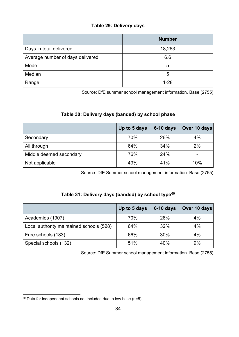#### **Table 29: Delivery days**

|                                  | <b>Number</b> |
|----------------------------------|---------------|
| Days in total delivered          | 18,263        |
| Average number of days delivered | 6.6           |
| Mode                             | 5             |
| Median                           | 5             |
| Range                            | $1 - 28$      |

Source: DfE summer school management information. Base (2755)

### **Table 30: Delivery days (banded) by school phase**

|                         | Up to 5 days | $6-10$ days | Over 10 days |
|-------------------------|--------------|-------------|--------------|
| Secondary               | 70%          | 26%         | 4%           |
| All through             | 64%          | 34%         | 2%           |
| Middle deemed secondary | 76%          | 24%         | -            |
| Not applicable          | 49%          | 41%         | 10%          |

Source: DfE Summer school management information. Base (2755)

#### **Table 31: Delivery days (banded) by school type[69](#page-83-0)**

|                                          | Up to 5 days | $6-10$ days | Over 10 days |
|------------------------------------------|--------------|-------------|--------------|
| Academies (1907)                         | 70%          | 26%         | 4%           |
| Local authority maintained schools (528) | 64%          | 32%         | 4%           |
| Free schools (183)                       | 66%          | 30%         | 4%           |
| Special schools (132)                    | 51%          | 40%         | 9%           |

Source: DfE Summer school management information. Base (2755)

<span id="page-83-0"></span> $69$  Data for independent schools not included due to low base (n=5).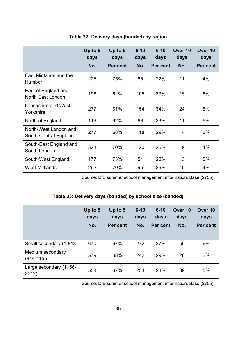|                                                | Up to 5<br>days | Up to 5<br>days | $6 - 10$<br>days | $6 - 10$<br>days | Over 10<br>days | Over <sub>10</sub><br>days |
|------------------------------------------------|-----------------|-----------------|------------------|------------------|-----------------|----------------------------|
|                                                | No.             | Per cent        | No.              | <b>Per cent</b>  | No.             | Per cent                   |
| East Midlands and the<br>Humber                | 225             | 75%             | 66               | 22%              | 11              | 4%                         |
| East of England and<br>North East London       | 198             | 62%             | 105              | 33%              | 15              | 5%                         |
| Lancashire and West<br>Yorkshire               | 277             | 61%             | 154              | 34%              | 24              | 5%                         |
| North of England                               | 119             | 62%             | 63               | 33%              | 11              | 6%                         |
| North-West London and<br>South-Central England | 277             | 68%             | 118              | 29%              | 14              | 3%                         |
| South-East England and<br>South London         | 323             | 70%             | 120              | 26%              | 19              | 4%                         |
| South-West England                             | 177             | 73%             | 54               | 22%              | 13              | 5%                         |
| <b>West Midlands</b>                           | 262             | 70%             | 95               | 26%              | 15              | 4%                         |

#### **Table 32: Delivery days (banded) by region**

Source: DfE summer school management information. Base (2755)

### **Table 33: Delivery days (banded) by school size (banded)**

|                                    | Up to 5<br>days<br>No. | Up to $5$<br>days<br>Per cent | $6 - 10$<br>days<br>No. | $6 - 10$<br>days<br><b>Per cent</b> | Over 10<br>days<br>No. | Over 10<br>days<br>Per cent |
|------------------------------------|------------------------|-------------------------------|-------------------------|-------------------------------------|------------------------|-----------------------------|
| Small secondary (1-813)            | 670                    | 67%                           | 272                     | 27%                                 | 55                     | 6%                          |
| Medium secondary<br>$(814 - 1155)$ | 579                    | 68%                           | 242                     | 29%                                 | 26                     | 3%                          |
| Large secondary (1156-<br>3012)    | 553                    | 67%                           | 234                     | 28%                                 | 39                     | 5%                          |

Source: DfE summer school management information. Base (2755)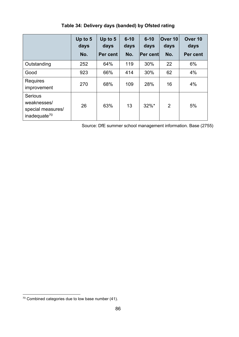|                                                                                | Up to 5<br>days<br>No. | Up to 5<br>days<br>Per cent | $6 - 10$<br>days<br>No. | $6 - 10$<br>days<br><b>Per cent</b> | Over 10<br>days<br>No. | Over <sub>10</sub><br>days<br>Per cent |
|--------------------------------------------------------------------------------|------------------------|-----------------------------|-------------------------|-------------------------------------|------------------------|----------------------------------------|
| Outstanding                                                                    | 252                    | 64%                         | 119                     | 30%                                 | 22                     | 6%                                     |
| Good                                                                           | 923                    | 66%                         | 414                     | 30%                                 | 62                     | 4%                                     |
| <b>Requires</b><br>improvement                                                 | 270                    | 68%                         | 109                     | 28%                                 | 16                     | 4%                                     |
| <b>Serious</b><br>weaknesses/<br>special measures/<br>inadequate <sup>70</sup> | 26                     | 63%                         | 13                      | $32\%$ *                            | $\overline{2}$         | 5%                                     |

**Table 34: Delivery days (banded) by Ofsted rating**

Source: DfE summer school management information. Base (2755)

<span id="page-85-0"></span><sup>70</sup> Combined categories due to low base number (41).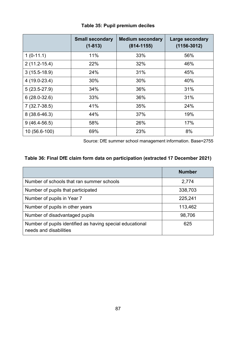|                  | <b>Small secondary</b><br>$(1 - 813)$ | <b>Medium secondary</b><br>$(814 - 1155)$ | Large secondary<br>$(1156 - 3012)$ |
|------------------|---------------------------------------|-------------------------------------------|------------------------------------|
| $1(0-11.1)$      | 11%                                   | 33%                                       | 56%                                |
| $2(11.2 - 15.4)$ | 22%                                   | 32%                                       | 46%                                |
| $3(15.5-18.9)$   | 24%                                   | 31%                                       | 45%                                |
| $4(19.0-23.4)$   | 30%                                   | 30%                                       | 40%                                |
| $5(23.5-27.9)$   | 34%                                   | 36%                                       | 31%                                |
| $6(28.0-32.6)$   | 33%                                   | 36%                                       | 31%                                |
| $7(32.7-38.5)$   | 41%                                   | 35%                                       | 24%                                |
| $8(38.6 - 46.3)$ | 44%                                   | 37%                                       | 19%                                |
| $9(46.4-56.5)$   | 58%                                   | 26%                                       | 17%                                |
| 10 (56.6-100)    | 69%                                   | 23%                                       | 8%                                 |

### **Table 35: Pupil premium deciles**

Source: DfE summer school management information. Base=2755

### **Table 36: Final DfE claim form data on participation (extracted 17 December 2021)**

|                                                                                     | <b>Number</b> |
|-------------------------------------------------------------------------------------|---------------|
| Number of schools that ran summer schools                                           | 2,774         |
| Number of pupils that participated                                                  | 338,703       |
| Number of pupils in Year 7                                                          | 225,241       |
| Number of pupils in other years                                                     | 113,462       |
| Number of disadvantaged pupils                                                      | 98,706        |
| Number of pupils identified as having special educational<br>needs and disabilities | 625           |